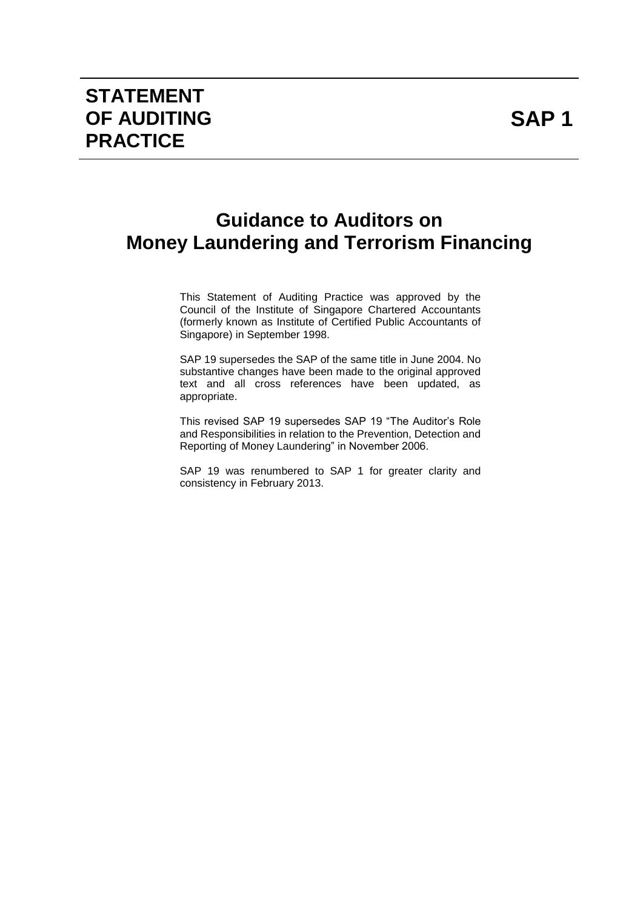## **Guidance to Auditors on Money Laundering and Terrorism Financing**

This Statement of Auditing Practice was approved by the Council of the Institute of Singapore Chartered Accountants (formerly known as Institute of Certified Public Accountants of Singapore) in September 1998.

SAP 19 supersedes the SAP of the same title in June 2004. No substantive changes have been made to the original approved text and all cross references have been updated, as appropriate.

This revised SAP 19 supersedes SAP 19 "The Auditor's Role and Responsibilities in relation to the Prevention, Detection and Reporting of Money Laundering" in November 2006.

SAP 19 was renumbered to SAP 1 for greater clarity and consistency in February 2013.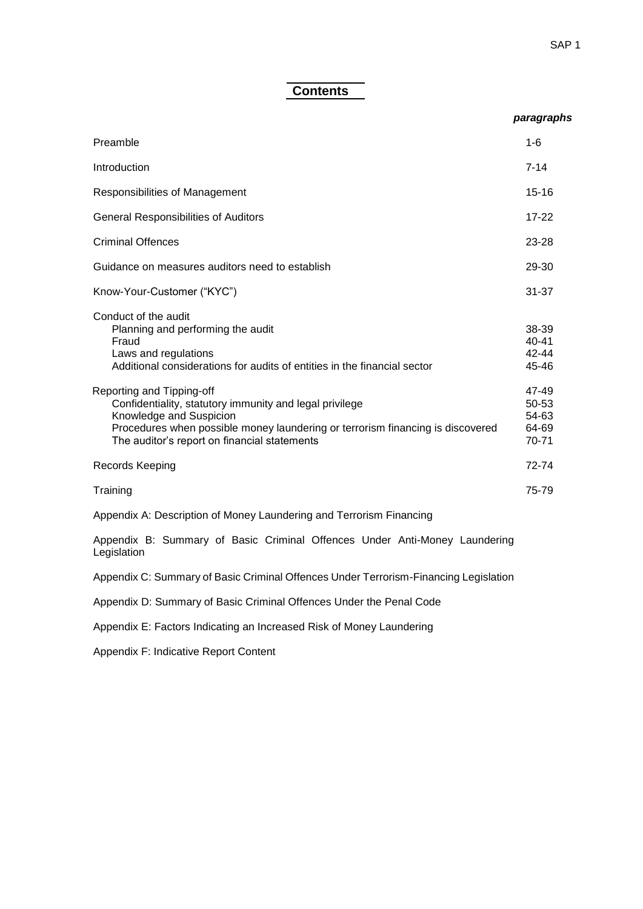### **Contents**

#### *paragraphs*

| Preamble                                                                                                                                                                                                                                          | $1 - 6$                                   |
|---------------------------------------------------------------------------------------------------------------------------------------------------------------------------------------------------------------------------------------------------|-------------------------------------------|
| Introduction                                                                                                                                                                                                                                      | $7 - 14$                                  |
| Responsibilities of Management                                                                                                                                                                                                                    | $15 - 16$                                 |
| <b>General Responsibilities of Auditors</b>                                                                                                                                                                                                       | $17 - 22$                                 |
| <b>Criminal Offences</b>                                                                                                                                                                                                                          | $23 - 28$                                 |
| Guidance on measures auditors need to establish                                                                                                                                                                                                   | 29-30                                     |
| Know-Your-Customer ("KYC")                                                                                                                                                                                                                        | $31 - 37$                                 |
| Conduct of the audit<br>Planning and performing the audit<br>Fraud<br>Laws and regulations<br>Additional considerations for audits of entities in the financial sector                                                                            | 38-39<br>$40 - 41$<br>$42 - 44$<br>45-46  |
| Reporting and Tipping-off<br>Confidentiality, statutory immunity and legal privilege<br>Knowledge and Suspicion<br>Procedures when possible money laundering or terrorism financing is discovered<br>The auditor's report on financial statements | 47-49<br>50-53<br>54-63<br>64-69<br>70-71 |
| Records Keeping                                                                                                                                                                                                                                   | 72-74                                     |
| Training                                                                                                                                                                                                                                          | 75-79                                     |

Appendix A: Description of Money Laundering and Terrorism Financing

Appendix B: Summary of Basic Criminal Offences Under Anti-Money Laundering Legislation

Appendix C: Summary of Basic Criminal Offences Under Terrorism-Financing Legislation

Appendix D: Summary of Basic Criminal Offences Under the Penal Code

Appendix E: Factors Indicating an Increased Risk of Money Laundering

Appendix F: Indicative Report Content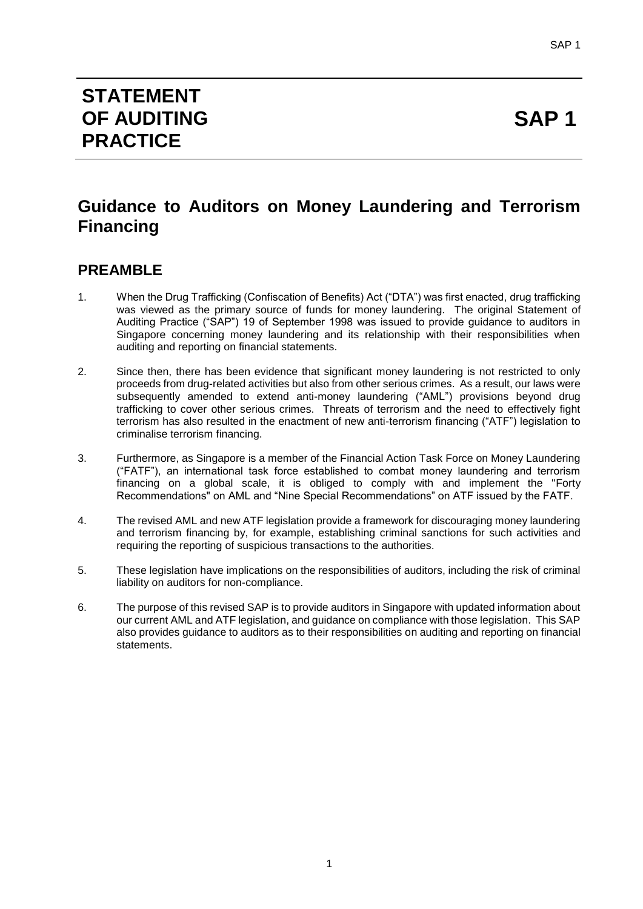## **STATEMENT OF AUDITING PRACTICE**

# **SAP 1**

## **Guidance to Auditors on Money Laundering and Terrorism Financing**

## **PREAMBLE**

- 1. When the Drug Trafficking (Confiscation of Benefits) Act ("DTA") was first enacted, drug trafficking was viewed as the primary source of funds for money laundering. The original Statement of Auditing Practice ("SAP") 19 of September 1998 was issued to provide guidance to auditors in Singapore concerning money laundering and its relationship with their responsibilities when auditing and reporting on financial statements.
- 2. Since then, there has been evidence that significant money laundering is not restricted to only proceeds from drug-related activities but also from other serious crimes. As a result, our laws were subsequently amended to extend anti-money laundering ("AML") provisions beyond drug trafficking to cover other serious crimes. Threats of terrorism and the need to effectively fight terrorism has also resulted in the enactment of new anti-terrorism financing ("ATF") legislation to criminalise terrorism financing.
- 3. Furthermore, as Singapore is a member of the Financial Action Task Force on Money Laundering ("FATF"), an international task force established to combat money laundering and terrorism financing on a global scale, it is obliged to comply with and implement the "Forty Recommendations" on AML and "Nine Special Recommendations" on ATF issued by the FATF.
- 4. The revised AML and new ATF legislation provide a framework for discouraging money laundering and terrorism financing by, for example, establishing criminal sanctions for such activities and requiring the reporting of suspicious transactions to the authorities.
- 5. These legislation have implications on the responsibilities of auditors, including the risk of criminal liability on auditors for non-compliance.
- 6. The purpose of this revised SAP is to provide auditors in Singapore with updated information about our current AML and ATF legislation, and guidance on compliance with those legislation. This SAP also provides guidance to auditors as to their responsibilities on auditing and reporting on financial statements.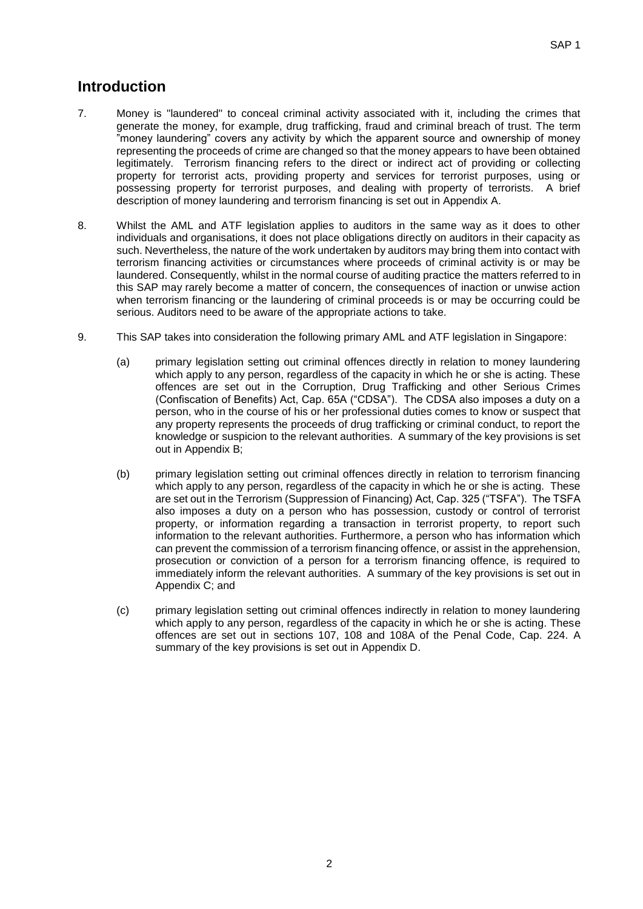## **Introduction**

- 7. Money is "laundered" to conceal criminal activity associated with it, including the crimes that generate the money, for example, drug trafficking, fraud and criminal breach of trust. The term "money laundering" covers any activity by which the apparent source and ownership of money representing the proceeds of crime are changed so that the money appears to have been obtained legitimately. Terrorism financing refers to the direct or indirect act of providing or collecting property for terrorist acts, providing property and services for terrorist purposes, using or possessing property for terrorist purposes, and dealing with property of terrorists. A brief description of money laundering and terrorism financing is set out in Appendix A.
- 8. Whilst the AML and ATF legislation applies to auditors in the same way as it does to other individuals and organisations, it does not place obligations directly on auditors in their capacity as such. Nevertheless, the nature of the work undertaken by auditors may bring them into contact with terrorism financing activities or circumstances where proceeds of criminal activity is or may be laundered. Consequently, whilst in the normal course of auditing practice the matters referred to in this SAP may rarely become a matter of concern, the consequences of inaction or unwise action when terrorism financing or the laundering of criminal proceeds is or may be occurring could be serious. Auditors need to be aware of the appropriate actions to take.
- 9. This SAP takes into consideration the following primary AML and ATF legislation in Singapore:
	- (a) primary legislation setting out criminal offences directly in relation to money laundering which apply to any person, regardless of the capacity in which he or she is acting. These offences are set out in the Corruption, Drug Trafficking and other Serious Crimes (Confiscation of Benefits) Act, Cap. 65A ("CDSA"). The CDSA also imposes a duty on a person, who in the course of his or her professional duties comes to know or suspect that any property represents the proceeds of drug trafficking or criminal conduct, to report the knowledge or suspicion to the relevant authorities. A summary of the key provisions is set out in Appendix B;
	- (b) primary legislation setting out criminal offences directly in relation to terrorism financing which apply to any person, regardless of the capacity in which he or she is acting. These are set out in the Terrorism (Suppression of Financing) Act, Cap. 325 ("TSFA"). The TSFA also imposes a duty on a person who has possession, custody or control of terrorist property, or information regarding a transaction in terrorist property, to report such information to the relevant authorities. Furthermore, a person who has information which can prevent the commission of a terrorism financing offence, or assist in the apprehension, prosecution or conviction of a person for a terrorism financing offence, is required to immediately inform the relevant authorities. A summary of the key provisions is set out in Appendix C; and
	- (c) primary legislation setting out criminal offences indirectly in relation to money laundering which apply to any person, regardless of the capacity in which he or she is acting. These offences are set out in sections 107, 108 and 108A of the Penal Code, Cap. 224. A summary of the key provisions is set out in Appendix D.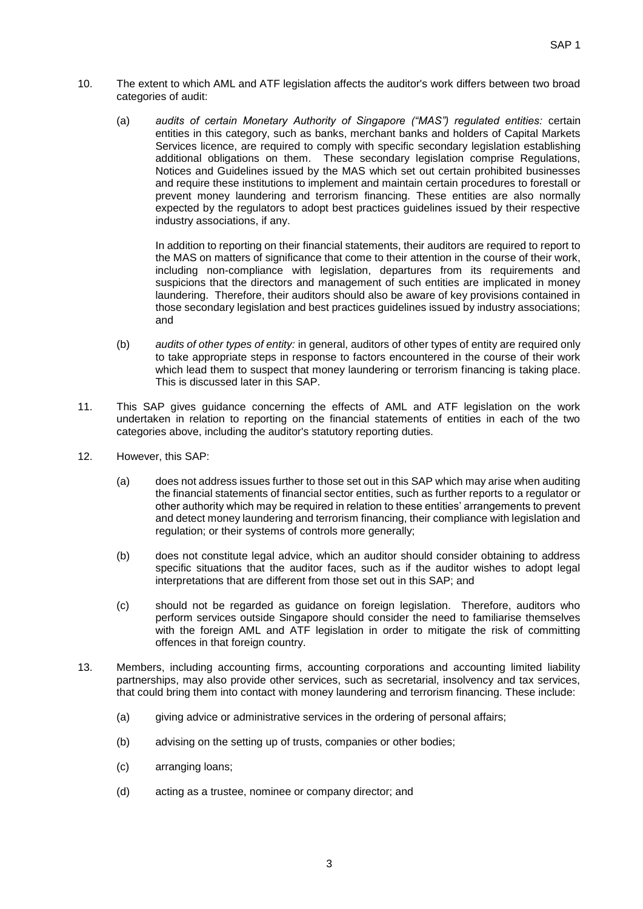- 10. The extent to which AML and ATF legislation affects the auditor's work differs between two broad categories of audit:
	- (a) *audits of certain Monetary Authority of Singapore ("MAS") regulated entities:* certain entities in this category, such as banks, merchant banks and holders of Capital Markets Services licence, are required to comply with specific secondary legislation establishing additional obligations on them. These secondary legislation comprise Regulations, Notices and Guidelines issued by the MAS which set out certain prohibited businesses and require these institutions to implement and maintain certain procedures to forestall or prevent money laundering and terrorism financing. These entities are also normally expected by the regulators to adopt best practices guidelines issued by their respective industry associations, if any.

In addition to reporting on their financial statements, their auditors are required to report to the MAS on matters of significance that come to their attention in the course of their work, including non-compliance with legislation, departures from its requirements and suspicions that the directors and management of such entities are implicated in money laundering. Therefore, their auditors should also be aware of key provisions contained in those secondary legislation and best practices guidelines issued by industry associations; and

- (b) *audits of other types of entity:* in general, auditors of other types of entity are required only to take appropriate steps in response to factors encountered in the course of their work which lead them to suspect that money laundering or terrorism financing is taking place. This is discussed later in this SAP.
- 11. This SAP gives guidance concerning the effects of AML and ATF legislation on the work undertaken in relation to reporting on the financial statements of entities in each of the two categories above, including the auditor's statutory reporting duties.
- 12. However, this SAP:
	- (a) does not address issues further to those set out in this SAP which may arise when auditing the financial statements of financial sector entities, such as further reports to a regulator or other authority which may be required in relation to these entities' arrangements to prevent and detect money laundering and terrorism financing, their compliance with legislation and regulation; or their systems of controls more generally;
	- (b) does not constitute legal advice, which an auditor should consider obtaining to address specific situations that the auditor faces, such as if the auditor wishes to adopt legal interpretations that are different from those set out in this SAP; and
	- (c) should not be regarded as guidance on foreign legislation. Therefore, auditors who perform services outside Singapore should consider the need to familiarise themselves with the foreign AML and ATF legislation in order to mitigate the risk of committing offences in that foreign country.
- 13. Members, including accounting firms, accounting corporations and accounting limited liability partnerships, may also provide other services, such as secretarial, insolvency and tax services, that could bring them into contact with money laundering and terrorism financing. These include:
	- (a) giving advice or administrative services in the ordering of personal affairs;
	- (b) advising on the setting up of trusts, companies or other bodies;
	- (c) arranging loans;
	- (d) acting as a trustee, nominee or company director; and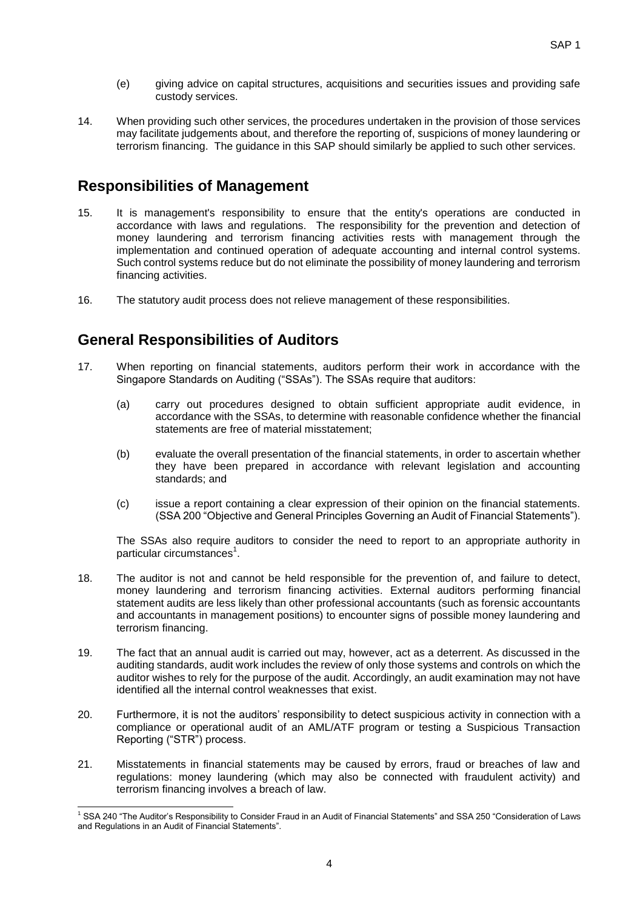- (e) giving advice on capital structures, acquisitions and securities issues and providing safe custody services.
- 14. When providing such other services, the procedures undertaken in the provision of those services may facilitate judgements about, and therefore the reporting of, suspicions of money laundering or terrorism financing. The guidance in this SAP should similarly be applied to such other services.

## **Responsibilities of Management**

- 15. It is management's responsibility to ensure that the entity's operations are conducted in accordance with laws and regulations. The responsibility for the prevention and detection of money laundering and terrorism financing activities rests with management through the implementation and continued operation of adequate accounting and internal control systems. Such control systems reduce but do not eliminate the possibility of money laundering and terrorism financing activities.
- 16. The statutory audit process does not relieve management of these responsibilities.

## **General Responsibilities of Auditors**

- 17. When reporting on financial statements, auditors perform their work in accordance with the Singapore Standards on Auditing ("SSAs"). The SSAs require that auditors:
	- (a) carry out procedures designed to obtain sufficient appropriate audit evidence, in accordance with the SSAs, to determine with reasonable confidence whether the financial statements are free of material misstatement;
	- (b) evaluate the overall presentation of the financial statements, in order to ascertain whether they have been prepared in accordance with relevant legislation and accounting standards; and
	- (c) issue a report containing a clear expression of their opinion on the financial statements. (SSA 200 "Objective and General Principles Governing an Audit of Financial Statements").

The SSAs also require auditors to consider the need to report to an appropriate authority in particular circumstances<sup>1</sup>.

- 18. The auditor is not and cannot be held responsible for the prevention of, and failure to detect, money laundering and terrorism financing activities. External auditors performing financial statement audits are less likely than other professional accountants (such as forensic accountants and accountants in management positions) to encounter signs of possible money laundering and terrorism financing.
- 19. The fact that an annual audit is carried out may, however, act as a deterrent. As discussed in the auditing standards, audit work includes the review of only those systems and controls on which the auditor wishes to rely for the purpose of the audit. Accordingly, an audit examination may not have identified all the internal control weaknesses that exist.
- 20. Furthermore, it is not the auditors' responsibility to detect suspicious activity in connection with a compliance or operational audit of an AML/ATF program or testing a Suspicious Transaction Reporting ("STR") process.
- 21. Misstatements in financial statements may be caused by errors, fraud or breaches of law and regulations: money laundering (which may also be connected with fraudulent activity) and terrorism financing involves a breach of law.

<sup>1</sup>  $1$  SSA 240 "The Auditor's Responsibility to Consider Fraud in an Audit of Financial Statements" and SSA 250 "Consideration of Laws and Regulations in an Audit of Financial Statements".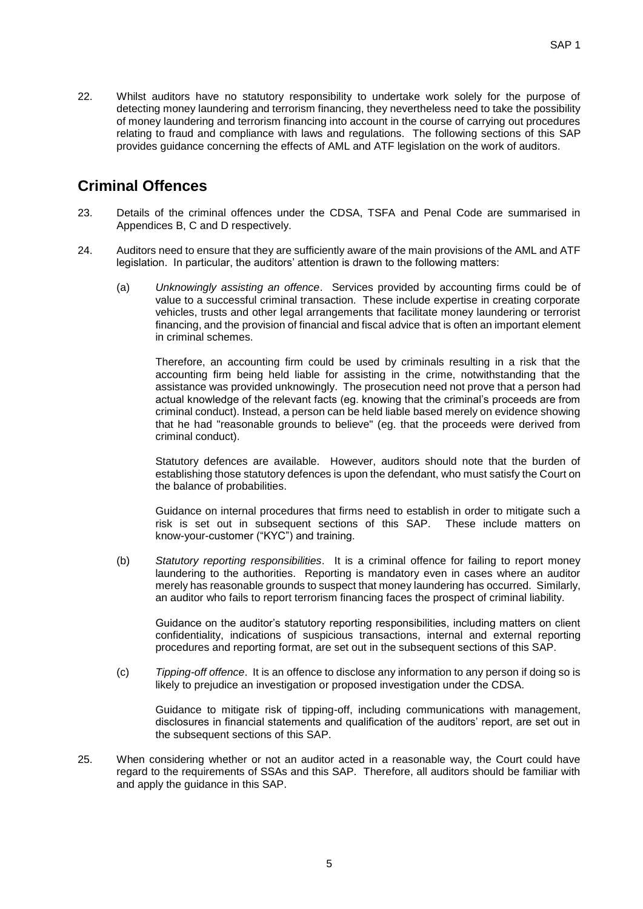22. Whilst auditors have no statutory responsibility to undertake work solely for the purpose of detecting money laundering and terrorism financing, they nevertheless need to take the possibility of money laundering and terrorism financing into account in the course of carrying out procedures relating to fraud and compliance with laws and regulations. The following sections of this SAP provides guidance concerning the effects of AML and ATF legislation on the work of auditors.

## **Criminal Offences**

- 23. Details of the criminal offences under the CDSA, TSFA and Penal Code are summarised in Appendices B, C and D respectively.
- 24. Auditors need to ensure that they are sufficiently aware of the main provisions of the AML and ATF legislation. In particular, the auditors' attention is drawn to the following matters:
	- (a) *Unknowingly assisting an offence*. Services provided by accounting firms could be of value to a successful criminal transaction. These include expertise in creating corporate vehicles, trusts and other legal arrangements that facilitate money laundering or terrorist financing, and the provision of financial and fiscal advice that is often an important element in criminal schemes.

Therefore, an accounting firm could be used by criminals resulting in a risk that the accounting firm being held liable for assisting in the crime, notwithstanding that the assistance was provided unknowingly. The prosecution need not prove that a person had actual knowledge of the relevant facts (eg. knowing that the criminal's proceeds are from criminal conduct). Instead, a person can be held liable based merely on evidence showing that he had "reasonable grounds to believe" (eg. that the proceeds were derived from criminal conduct).

Statutory defences are available. However, auditors should note that the burden of establishing those statutory defences is upon the defendant, who must satisfy the Court on the balance of probabilities.

Guidance on internal procedures that firms need to establish in order to mitigate such a risk is set out in subsequent sections of this SAP. These include matters on know-your-customer ("KYC") and training.

(b) *Statutory reporting responsibilities*. It is a criminal offence for failing to report money laundering to the authorities. Reporting is mandatory even in cases where an auditor merely has reasonable grounds to suspect that money laundering has occurred. Similarly, an auditor who fails to report terrorism financing faces the prospect of criminal liability.

Guidance on the auditor's statutory reporting responsibilities, including matters on client confidentiality, indications of suspicious transactions, internal and external reporting procedures and reporting format, are set out in the subsequent sections of this SAP.

(c) *Tipping-off offence*. It is an offence to disclose any information to any person if doing so is likely to prejudice an investigation or proposed investigation under the CDSA.

Guidance to mitigate risk of tipping-off, including communications with management, disclosures in financial statements and qualification of the auditors' report, are set out in the subsequent sections of this SAP.

25. When considering whether or not an auditor acted in a reasonable way, the Court could have regard to the requirements of SSAs and this SAP. Therefore, all auditors should be familiar with and apply the guidance in this SAP.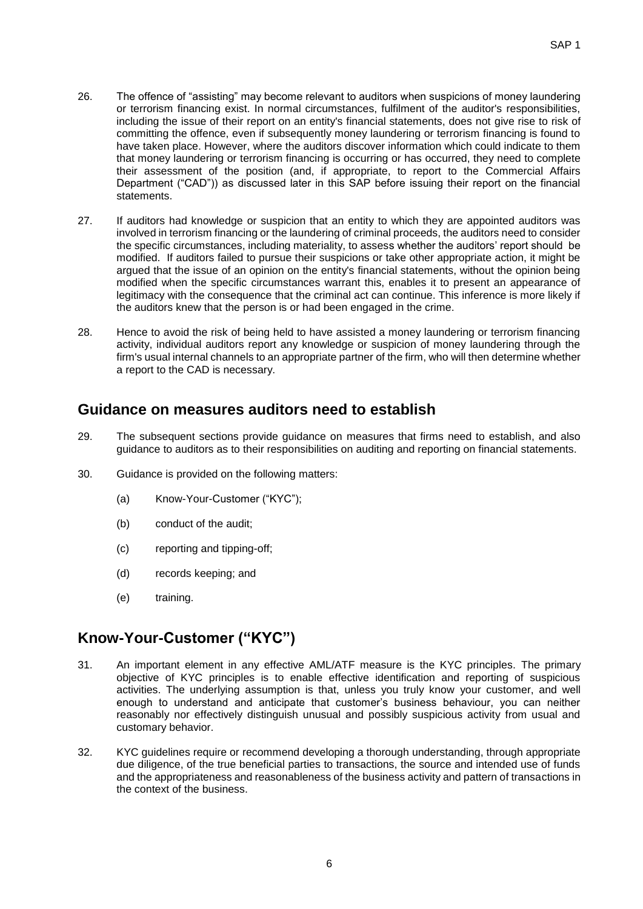- 26. The offence of "assisting" may become relevant to auditors when suspicions of money laundering or terrorism financing exist. In normal circumstances, fulfilment of the auditor's responsibilities, including the issue of their report on an entity's financial statements, does not give rise to risk of committing the offence, even if subsequently money laundering or terrorism financing is found to have taken place. However, where the auditors discover information which could indicate to them that money laundering or terrorism financing is occurring or has occurred, they need to complete their assessment of the position (and, if appropriate, to report to the Commercial Affairs Department ("CAD")) as discussed later in this SAP before issuing their report on the financial statements.
- 27. If auditors had knowledge or suspicion that an entity to which they are appointed auditors was involved in terrorism financing or the laundering of criminal proceeds, the auditors need to consider the specific circumstances, including materiality, to assess whether the auditors' report should be modified. If auditors failed to pursue their suspicions or take other appropriate action, it might be argued that the issue of an opinion on the entity's financial statements, without the opinion being modified when the specific circumstances warrant this, enables it to present an appearance of legitimacy with the consequence that the criminal act can continue. This inference is more likely if the auditors knew that the person is or had been engaged in the crime.
- 28. Hence to avoid the risk of being held to have assisted a money laundering or terrorism financing activity, individual auditors report any knowledge or suspicion of money laundering through the firm's usual internal channels to an appropriate partner of the firm, who will then determine whether a report to the CAD is necessary.

## **Guidance on measures auditors need to establish**

- 29. The subsequent sections provide guidance on measures that firms need to establish, and also guidance to auditors as to their responsibilities on auditing and reporting on financial statements.
- 30. Guidance is provided on the following matters:
	- (a) Know-Your-Customer ("KYC");
	- (b) conduct of the audit;
	- (c) reporting and tipping-off;
	- (d) records keeping; and
	- (e) training.

## **Know-Your-Customer ("KYC")**

- 31. An important element in any effective AML/ATF measure is the KYC principles. The primary objective of KYC principles is to enable effective identification and reporting of suspicious activities. The underlying assumption is that, unless you truly know your customer, and well enough to understand and anticipate that customer's business behaviour, you can neither reasonably nor effectively distinguish unusual and possibly suspicious activity from usual and customary behavior.
- 32. KYC guidelines require or recommend developing a thorough understanding, through appropriate due diligence, of the true beneficial parties to transactions, the source and intended use of funds and the appropriateness and reasonableness of the business activity and pattern of transactions in the context of the business.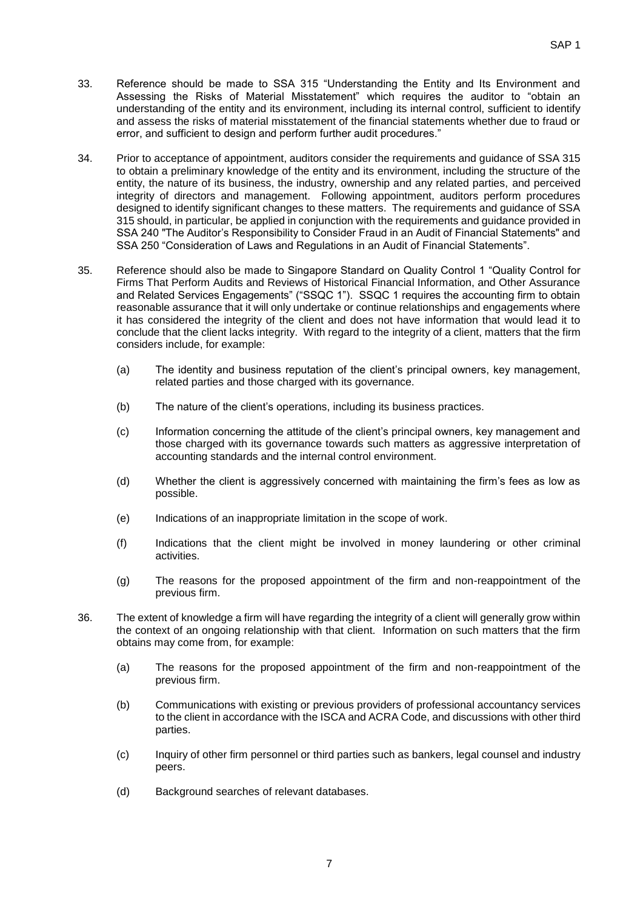- 33. Reference should be made to SSA 315 "Understanding the Entity and Its Environment and Assessing the Risks of Material Misstatement" which requires the auditor to "obtain an understanding of the entity and its environment, including its internal control, sufficient to identify and assess the risks of material misstatement of the financial statements whether due to fraud or error, and sufficient to design and perform further audit procedures."
- 34. Prior to acceptance of appointment, auditors consider the requirements and guidance of SSA 315 to obtain a preliminary knowledge of the entity and its environment, including the structure of the entity, the nature of its business, the industry, ownership and any related parties, and perceived integrity of directors and management. Following appointment, auditors perform procedures designed to identify significant changes to these matters. The requirements and guidance of SSA 315 should, in particular, be applied in conjunction with the requirements and guidance provided in SSA 240 "The Auditor's Responsibility to Consider Fraud in an Audit of Financial Statements" and SSA 250 "Consideration of Laws and Regulations in an Audit of Financial Statements".
- 35. Reference should also be made to Singapore Standard on Quality Control 1 "Quality Control for Firms That Perform Audits and Reviews of Historical Financial Information, and Other Assurance and Related Services Engagements" ("SSQC 1"). SSQC 1 requires the accounting firm to obtain reasonable assurance that it will only undertake or continue relationships and engagements where it has considered the integrity of the client and does not have information that would lead it to conclude that the client lacks integrity. With regard to the integrity of a client, matters that the firm considers include, for example:
	- (a) The identity and business reputation of the client's principal owners, key management, related parties and those charged with its governance.
	- (b) The nature of the client's operations, including its business practices.
	- (c) Information concerning the attitude of the client's principal owners, key management and those charged with its governance towards such matters as aggressive interpretation of accounting standards and the internal control environment.
	- (d) Whether the client is aggressively concerned with maintaining the firm's fees as low as possible.
	- (e) Indications of an inappropriate limitation in the scope of work.
	- (f) Indications that the client might be involved in money laundering or other criminal activities.
	- (g) The reasons for the proposed appointment of the firm and non-reappointment of the previous firm.
- 36. The extent of knowledge a firm will have regarding the integrity of a client will generally grow within the context of an ongoing relationship with that client. Information on such matters that the firm obtains may come from, for example:
	- (a) The reasons for the proposed appointment of the firm and non-reappointment of the previous firm.
	- (b) Communications with existing or previous providers of professional accountancy services to the client in accordance with the ISCA and ACRA Code, and discussions with other third parties.
	- (c) Inquiry of other firm personnel or third parties such as bankers, legal counsel and industry peers.
	- (d) Background searches of relevant databases.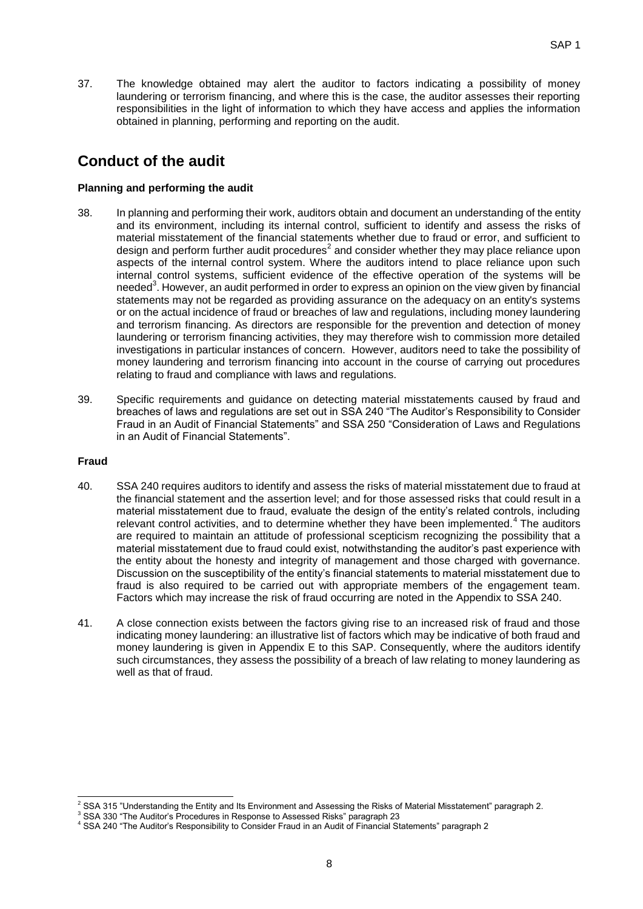37. The knowledge obtained may alert the auditor to factors indicating a possibility of money laundering or terrorism financing, and where this is the case, the auditor assesses their reporting responsibilities in the light of information to which they have access and applies the information obtained in planning, performing and reporting on the audit.

## **Conduct of the audit**

#### **Planning and performing the audit**

- 38. In planning and performing their work, auditors obtain and document an understanding of the entity and its environment, including its internal control, sufficient to identify and assess the risks of material misstatement of the financial statements whether due to fraud or error, and sufficient to design and perform further audit procedures<sup>2</sup> and consider whether they may place reliance upon aspects of the internal control system. Where the auditors intend to place reliance upon such internal control systems, sufficient evidence of the effective operation of the systems will be needed<sup>3</sup>. However, an audit performed in order to express an opinion on the view given by financial statements may not be regarded as providing assurance on the adequacy on an entity's systems or on the actual incidence of fraud or breaches of law and regulations, including money laundering and terrorism financing. As directors are responsible for the prevention and detection of money laundering or terrorism financing activities, they may therefore wish to commission more detailed investigations in particular instances of concern. However, auditors need to take the possibility of money laundering and terrorism financing into account in the course of carrying out procedures relating to fraud and compliance with laws and regulations.
- 39. Specific requirements and guidance on detecting material misstatements caused by fraud and breaches of laws and regulations are set out in SSA 240 "The Auditor's Responsibility to Consider Fraud in an Audit of Financial Statements" and SSA 250 "Consideration of Laws and Regulations in an Audit of Financial Statements".

#### **Fraud**

- 40. SSA 240 requires auditors to identify and assess the risks of material misstatement due to fraud at the financial statement and the assertion level; and for those assessed risks that could result in a material misstatement due to fraud, evaluate the design of the entity's related controls, including relevant control activities, and to determine whether they have been implemented.<sup>4</sup> The auditors are required to maintain an attitude of professional scepticism recognizing the possibility that a material misstatement due to fraud could exist, notwithstanding the auditor's past experience with the entity about the honesty and integrity of management and those charged with governance. Discussion on the susceptibility of the entity's financial statements to material misstatement due to fraud is also required to be carried out with appropriate members of the engagement team. Factors which may increase the risk of fraud occurring are noted in the Appendix to SSA 240.
- 41. A close connection exists between the factors giving rise to an increased risk of fraud and those indicating money laundering: an illustrative list of factors which may be indicative of both fraud and money laundering is given in Appendix E to this SAP. Consequently, where the auditors identify such circumstances, they assess the possibility of a breach of law relating to money laundering as well as that of fraud.

<sup>1</sup>  $2$  SSA 315 "Understanding the Entity and Its Environment and Assessing the Risks of Material Misstatement" paragraph 2.

<sup>&</sup>lt;sup>3</sup> SSA 330 "The Auditor's Procedures in Response to Assessed Risks" paragraph 23

<sup>4</sup> SSA 240 "The Auditor's Responsibility to Consider Fraud in an Audit of Financial Statements" paragraph 2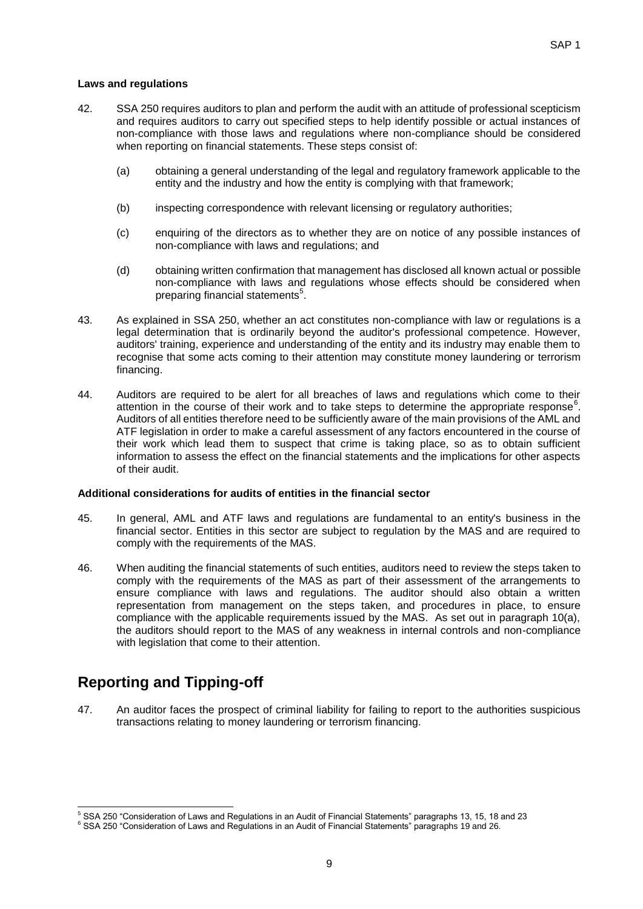#### **Laws and regulations**

- 42. SSA 250 requires auditors to plan and perform the audit with an attitude of professional scepticism and requires auditors to carry out specified steps to help identify possible or actual instances of non-compliance with those laws and regulations where non-compliance should be considered when reporting on financial statements. These steps consist of:
	- (a) obtaining a general understanding of the legal and regulatory framework applicable to the entity and the industry and how the entity is complying with that framework;
	- (b) inspecting correspondence with relevant licensing or regulatory authorities;
	- (c) enquiring of the directors as to whether they are on notice of any possible instances of non-compliance with laws and regulations; and
	- (d) obtaining written confirmation that management has disclosed all known actual or possible non-compliance with laws and regulations whose effects should be considered when preparing financial statements<sup>5</sup>.
- 43. As explained in SSA 250, whether an act constitutes non-compliance with law or regulations is a legal determination that is ordinarily beyond the auditor's professional competence. However, auditors' training, experience and understanding of the entity and its industry may enable them to recognise that some acts coming to their attention may constitute money laundering or terrorism financing.
- 44. Auditors are required to be alert for all breaches of laws and regulations which come to their attention in the course of their work and to take steps to determine the appropriate response<sup>6</sup>. Auditors of all entities therefore need to be sufficiently aware of the main provisions of the AML and ATF legislation in order to make a careful assessment of any factors encountered in the course of their work which lead them to suspect that crime is taking place, so as to obtain sufficient information to assess the effect on the financial statements and the implications for other aspects of their audit.

#### **Additional considerations for audits of entities in the financial sector**

- 45. In general, AML and ATF laws and regulations are fundamental to an entity's business in the financial sector. Entities in this sector are subject to regulation by the MAS and are required to comply with the requirements of the MAS.
- 46. When auditing the financial statements of such entities, auditors need to review the steps taken to comply with the requirements of the MAS as part of their assessment of the arrangements to ensure compliance with laws and regulations. The auditor should also obtain a written representation from management on the steps taken, and procedures in place, to ensure compliance with the applicable requirements issued by the MAS. As set out in paragraph 10(a), the auditors should report to the MAS of any weakness in internal controls and non-compliance with legislation that come to their attention.

## **Reporting and Tipping-off**

1

47. An auditor faces the prospect of criminal liability for failing to report to the authorities suspicious transactions relating to money laundering or terrorism financing.

 $^5$  SSA 250 "Consideration of Laws and Regulations in an Audit of Financial Statements" paragraphs 13, 15, 18 and 23

<sup>6</sup> SSA 250 "Consideration of Laws and Regulations in an Audit of Financial Statements" paragraphs 19 and 26.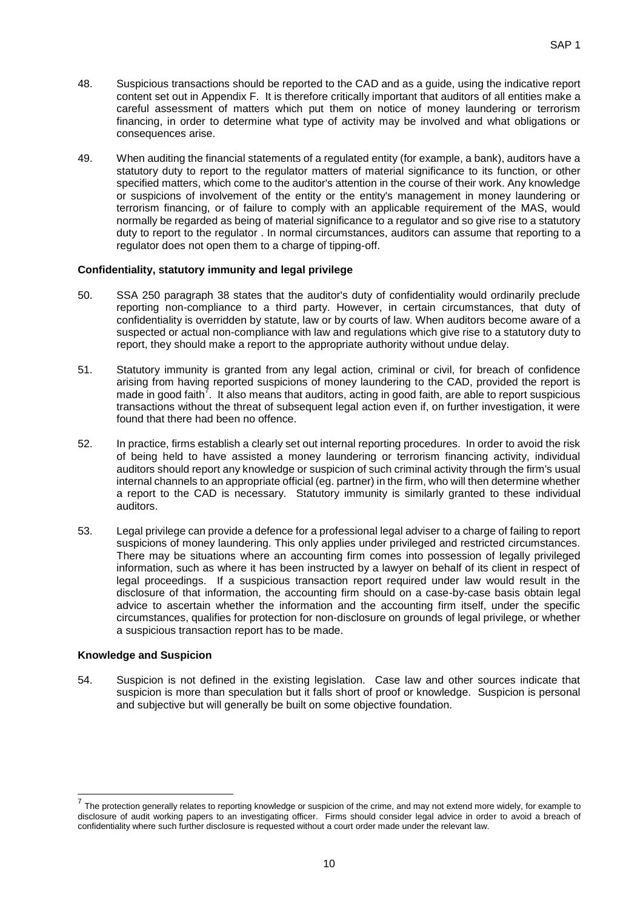- 48. Suspicious transactions should be reported to the CAD and as a guide, using the indicative report content set out in Appendix F. It is therefore critically important that auditors of all entities make a careful assessment of matters which put them on notice of money laundering or terrorism financing, in order to determine what type of activity may be involved and what obligations or consequences arise.
- 49. When auditing the financial statements of a regulated entity (for example, a bank), auditors have a statutory duty to report to the regulator matters of material significance to its function, or other specified matters, which come to the auditor's attention in the course of their work. Any knowledge or suspicions of involvement of the entity or the entity's management in money laundering or terrorism financing, or of failure to comply with an applicable requirement of the MAS, would normally be regarded as being of material significance to a regulator and so give rise to a statutory duty to report to the regulator . In normal circumstances, auditors can assume that reporting to a regulator does not open them to a charge of tipping-off.

#### **Confidentiality, statutory immunity and legal privilege**

- 50. SSA 250 paragraph 38 states that the auditor's duty of confidentiality would ordinarily preclude reporting non-compliance to a third party. However, in certain circumstances, that duty of confidentiality is overridden by statute, law or by courts of law. When auditors become aware of a suspected or actual non-compliance with law and regulations which give rise to a statutory duty to report, they should make a report to the appropriate authority without undue delay.
- 51. Statutory immunity is granted from any legal action, criminal or civil, for breach of confidence arising from having reported suspicions of money laundering to the CAD, provided the report is made in good faith<sup>7</sup>. It also means that auditors, acting in good faith, are able to report suspicious transactions without the threat of subsequent legal action even if, on further investigation, it were found that there had been no offence.
- 52. In practice, firms establish a clearly set out internal reporting procedures. In order to avoid the risk of being held to have assisted a money laundering or terrorism financing activity, individual auditors should report any knowledge or suspicion of such criminal activity through the firm's usual internal channels to an appropriate official (eg. partner) in the firm, who will then determine whether a report to the CAD is necessary. Statutory immunity is similarly granted to these individual auditors.
- 53. Legal privilege can provide a defence for a professional legal adviser to a charge of failing to report suspicions of money laundering. This only applies under privileged and restricted circumstances. There may be situations where an accounting firm comes into possession of legally privileged information, such as where it has been instructed by a lawyer on behalf of its client in respect of legal proceedings. If a suspicious transaction report required under law would result in the disclosure of that information, the accounting firm should on a case-by-case basis obtain legal advice to ascertain whether the information and the accounting firm itself, under the specific circumstances, qualifies for protection for non-disclosure on grounds of legal privilege, or whether a suspicious transaction report has to be made.

#### **Knowledge and Suspicion**

1

54. Suspicion is not defined in the existing legislation. Case law and other sources indicate that suspicion is more than speculation but it falls short of proof or knowledge. Suspicion is personal and subjective but will generally be built on some objective foundation.

<sup>7</sup> The protection generally relates to reporting knowledge or suspicion of the crime, and may not extend more widely, for example to disclosure of audit working papers to an investigating officer. Firms should consider legal advice in order to avoid a breach of confidentiality where such further disclosure is requested without a court order made under the relevant law.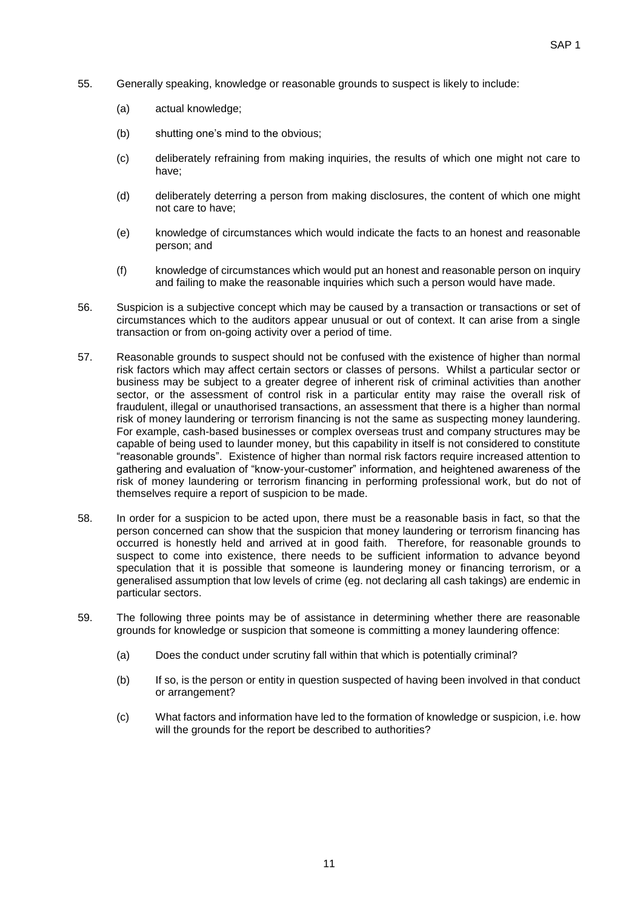- 55. Generally speaking, knowledge or reasonable grounds to suspect is likely to include:
	- (a) actual knowledge;
	- (b) shutting one's mind to the obvious;
	- (c) deliberately refraining from making inquiries, the results of which one might not care to have;
	- (d) deliberately deterring a person from making disclosures, the content of which one might not care to have;
	- (e) knowledge of circumstances which would indicate the facts to an honest and reasonable person; and
	- (f) knowledge of circumstances which would put an honest and reasonable person on inquiry and failing to make the reasonable inquiries which such a person would have made.
- 56. Suspicion is a subjective concept which may be caused by a transaction or transactions or set of circumstances which to the auditors appear unusual or out of context. It can arise from a single transaction or from on-going activity over a period of time.
- 57. Reasonable grounds to suspect should not be confused with the existence of higher than normal risk factors which may affect certain sectors or classes of persons. Whilst a particular sector or business may be subject to a greater degree of inherent risk of criminal activities than another sector, or the assessment of control risk in a particular entity may raise the overall risk of fraudulent, illegal or unauthorised transactions, an assessment that there is a higher than normal risk of money laundering or terrorism financing is not the same as suspecting money laundering. For example, cash-based businesses or complex overseas trust and company structures may be capable of being used to launder money, but this capability in itself is not considered to constitute "reasonable grounds". Existence of higher than normal risk factors require increased attention to gathering and evaluation of "know-your-customer" information, and heightened awareness of the risk of money laundering or terrorism financing in performing professional work, but do not of themselves require a report of suspicion to be made.
- 58. In order for a suspicion to be acted upon, there must be a reasonable basis in fact, so that the person concerned can show that the suspicion that money laundering or terrorism financing has occurred is honestly held and arrived at in good faith. Therefore, for reasonable grounds to suspect to come into existence, there needs to be sufficient information to advance beyond speculation that it is possible that someone is laundering money or financing terrorism, or a generalised assumption that low levels of crime (eg. not declaring all cash takings) are endemic in particular sectors.
- 59. The following three points may be of assistance in determining whether there are reasonable grounds for knowledge or suspicion that someone is committing a money laundering offence:
	- (a) Does the conduct under scrutiny fall within that which is potentially criminal?
	- (b) If so, is the person or entity in question suspected of having been involved in that conduct or arrangement?
	- (c) What factors and information have led to the formation of knowledge or suspicion, i.e. how will the grounds for the report be described to authorities?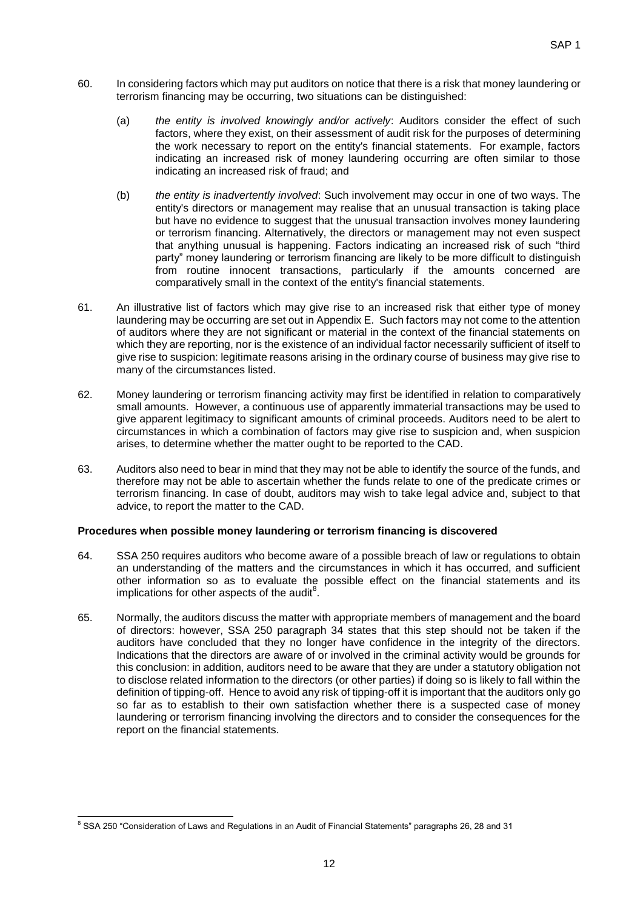- 60. In considering factors which may put auditors on notice that there is a risk that money laundering or terrorism financing may be occurring, two situations can be distinguished:
	- (a) *the entity is involved knowingly and/or actively*: Auditors consider the effect of such factors, where they exist, on their assessment of audit risk for the purposes of determining the work necessary to report on the entity's financial statements. For example, factors indicating an increased risk of money laundering occurring are often similar to those indicating an increased risk of fraud; and
	- (b) *the entity is inadvertently involved*: Such involvement may occur in one of two ways. The entity's directors or management may realise that an unusual transaction is taking place but have no evidence to suggest that the unusual transaction involves money laundering or terrorism financing. Alternatively, the directors or management may not even suspect that anything unusual is happening. Factors indicating an increased risk of such "third party" money laundering or terrorism financing are likely to be more difficult to distinguish from routine innocent transactions, particularly if the amounts concerned are comparatively small in the context of the entity's financial statements.
- 61. An illustrative list of factors which may give rise to an increased risk that either type of money laundering may be occurring are set out in Appendix E. Such factors may not come to the attention of auditors where they are not significant or material in the context of the financial statements on which they are reporting, nor is the existence of an individual factor necessarily sufficient of itself to give rise to suspicion: legitimate reasons arising in the ordinary course of business may give rise to many of the circumstances listed.
- 62. Money laundering or terrorism financing activity may first be identified in relation to comparatively small amounts. However, a continuous use of apparently immaterial transactions may be used to give apparent legitimacy to significant amounts of criminal proceeds. Auditors need to be alert to circumstances in which a combination of factors may give rise to suspicion and, when suspicion arises, to determine whether the matter ought to be reported to the CAD.
- 63. Auditors also need to bear in mind that they may not be able to identify the source of the funds, and therefore may not be able to ascertain whether the funds relate to one of the predicate crimes or terrorism financing. In case of doubt, auditors may wish to take legal advice and, subject to that advice, to report the matter to the CAD.

#### **Procedures when possible money laundering or terrorism financing is discovered**

- 64. SSA 250 requires auditors who become aware of a possible breach of law or regulations to obtain an understanding of the matters and the circumstances in which it has occurred, and sufficient other information so as to evaluate the possible effect on the financial statements and its implications for other aspects of the audit $^8$ .
- 65. Normally, the auditors discuss the matter with appropriate members of management and the board of directors: however, SSA 250 paragraph 34 states that this step should not be taken if the auditors have concluded that they no longer have confidence in the integrity of the directors. Indications that the directors are aware of or involved in the criminal activity would be grounds for this conclusion: in addition, auditors need to be aware that they are under a statutory obligation not to disclose related information to the directors (or other parties) if doing so is likely to fall within the definition of tipping-off. Hence to avoid any risk of tipping-off it is important that the auditors only go so far as to establish to their own satisfaction whether there is a suspected case of money laundering or terrorism financing involving the directors and to consider the consequences for the report on the financial statements.

<sup>1</sup> <sup>8</sup> SSA 250 "Consideration of Laws and Regulations in an Audit of Financial Statements" paragraphs 26, 28 and 31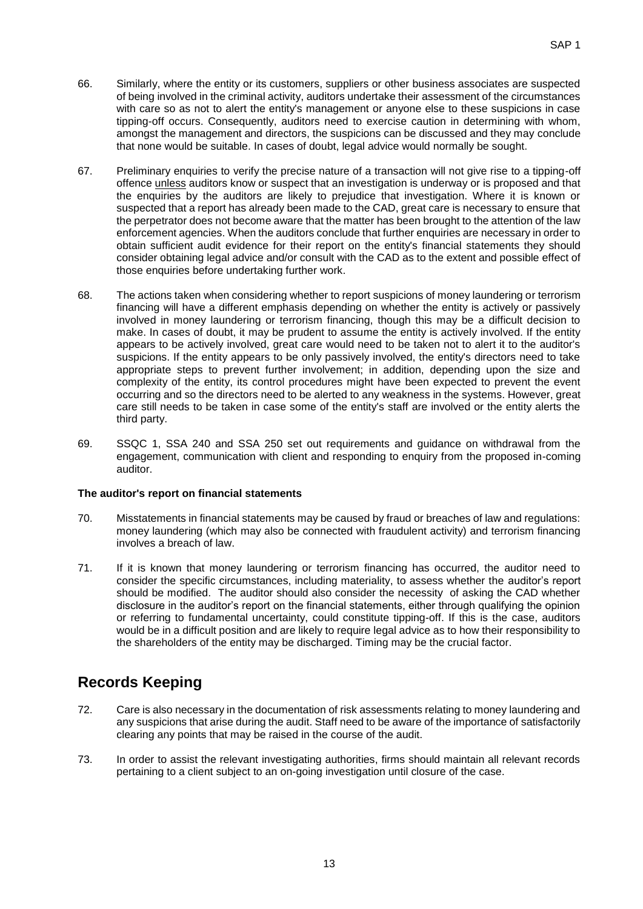- 66. Similarly, where the entity or its customers, suppliers or other business associates are suspected of being involved in the criminal activity, auditors undertake their assessment of the circumstances with care so as not to alert the entity's management or anyone else to these suspicions in case tipping-off occurs. Consequently, auditors need to exercise caution in determining with whom, amongst the management and directors, the suspicions can be discussed and they may conclude that none would be suitable. In cases of doubt, legal advice would normally be sought.
- 67. Preliminary enquiries to verify the precise nature of a transaction will not give rise to a tipping-off offence unless auditors know or suspect that an investigation is underway or is proposed and that the enquiries by the auditors are likely to prejudice that investigation. Where it is known or suspected that a report has already been made to the CAD, great care is necessary to ensure that the perpetrator does not become aware that the matter has been brought to the attention of the law enforcement agencies. When the auditors conclude that further enquiries are necessary in order to obtain sufficient audit evidence for their report on the entity's financial statements they should consider obtaining legal advice and/or consult with the CAD as to the extent and possible effect of those enquiries before undertaking further work.
- 68. The actions taken when considering whether to report suspicions of money laundering or terrorism financing will have a different emphasis depending on whether the entity is actively or passively involved in money laundering or terrorism financing, though this may be a difficult decision to make. In cases of doubt, it may be prudent to assume the entity is actively involved. If the entity appears to be actively involved, great care would need to be taken not to alert it to the auditor's suspicions. If the entity appears to be only passively involved, the entity's directors need to take appropriate steps to prevent further involvement; in addition, depending upon the size and complexity of the entity, its control procedures might have been expected to prevent the event occurring and so the directors need to be alerted to any weakness in the systems. However, great care still needs to be taken in case some of the entity's staff are involved or the entity alerts the third party.
- 69. SSQC 1, SSA 240 and SSA 250 set out requirements and guidance on withdrawal from the engagement, communication with client and responding to enquiry from the proposed in-coming auditor.

#### **The auditor's report on financial statements**

- 70. Misstatements in financial statements may be caused by fraud or breaches of law and regulations: money laundering (which may also be connected with fraudulent activity) and terrorism financing involves a breach of law.
- 71. If it is known that money laundering or terrorism financing has occurred, the auditor need to consider the specific circumstances, including materiality, to assess whether the auditor's report should be modified. The auditor should also consider the necessity of asking the CAD whether disclosure in the auditor's report on the financial statements, either through qualifying the opinion or referring to fundamental uncertainty, could constitute tipping-off. If this is the case, auditors would be in a difficult position and are likely to require legal advice as to how their responsibility to the shareholders of the entity may be discharged. Timing may be the crucial factor.

## **Records Keeping**

- 72. Care is also necessary in the documentation of risk assessments relating to money laundering and any suspicions that arise during the audit. Staff need to be aware of the importance of satisfactorily clearing any points that may be raised in the course of the audit.
- 73. In order to assist the relevant investigating authorities, firms should maintain all relevant records pertaining to a client subject to an on-going investigation until closure of the case.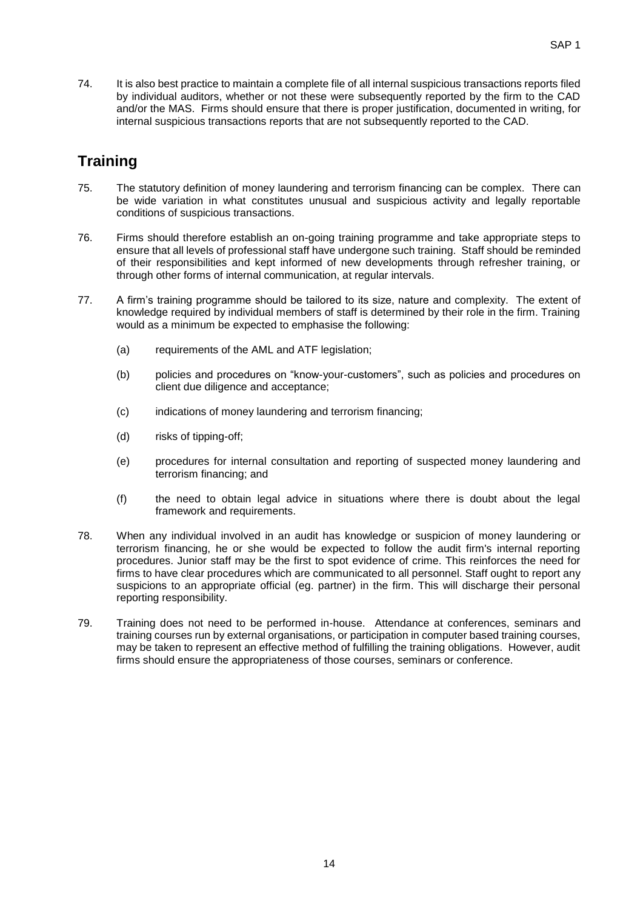74. It is also best practice to maintain a complete file of all internal suspicious transactions reports filed by individual auditors, whether or not these were subsequently reported by the firm to the CAD and/or the MAS. Firms should ensure that there is proper justification, documented in writing, for internal suspicious transactions reports that are not subsequently reported to the CAD.

## **Training**

- 75. The statutory definition of money laundering and terrorism financing can be complex. There can be wide variation in what constitutes unusual and suspicious activity and legally reportable conditions of suspicious transactions.
- 76. Firms should therefore establish an on-going training programme and take appropriate steps to ensure that all levels of professional staff have undergone such training. Staff should be reminded of their responsibilities and kept informed of new developments through refresher training, or through other forms of internal communication, at regular intervals.
- 77. A firm's training programme should be tailored to its size, nature and complexity. The extent of knowledge required by individual members of staff is determined by their role in the firm. Training would as a minimum be expected to emphasise the following:
	- (a) requirements of the AML and ATF legislation;
	- (b) policies and procedures on "know-your-customers", such as policies and procedures on client due diligence and acceptance;
	- (c) indications of money laundering and terrorism financing;
	- (d) risks of tipping-off;
	- (e) procedures for internal consultation and reporting of suspected money laundering and terrorism financing; and
	- (f) the need to obtain legal advice in situations where there is doubt about the legal framework and requirements.
- 78. When any individual involved in an audit has knowledge or suspicion of money laundering or terrorism financing, he or she would be expected to follow the audit firm's internal reporting procedures. Junior staff may be the first to spot evidence of crime. This reinforces the need for firms to have clear procedures which are communicated to all personnel. Staff ought to report any suspicions to an appropriate official (eg. partner) in the firm. This will discharge their personal reporting responsibility.
- 79. Training does not need to be performed in-house. Attendance at conferences, seminars and training courses run by external organisations, or participation in computer based training courses, may be taken to represent an effective method of fulfilling the training obligations. However, audit firms should ensure the appropriateness of those courses, seminars or conference.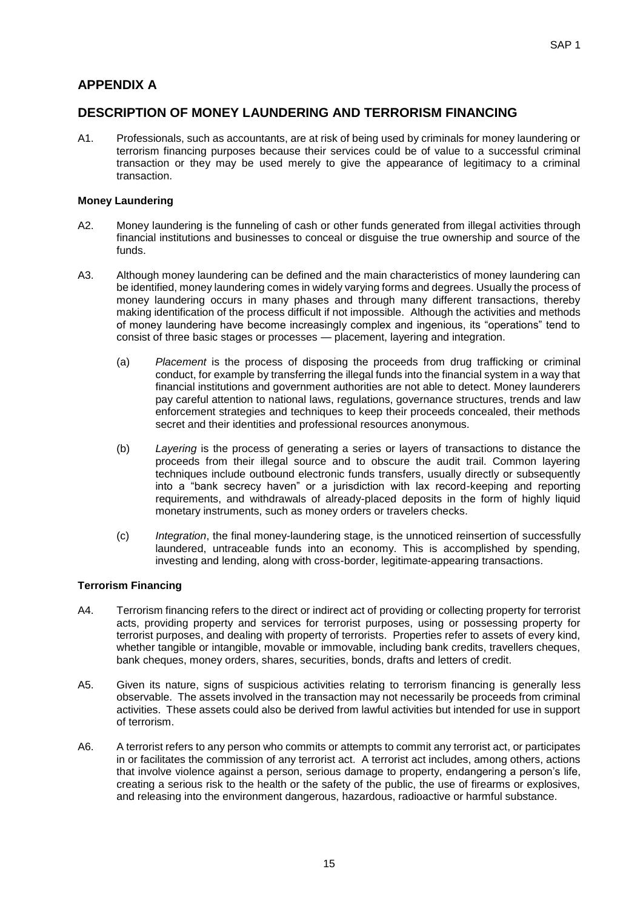### **APPENDIX A**

### **DESCRIPTION OF MONEY LAUNDERING AND TERRORISM FINANCING**

A1. Professionals, such as accountants, are at risk of being used by criminals for money laundering or terrorism financing purposes because their services could be of value to a successful criminal transaction or they may be used merely to give the appearance of legitimacy to a criminal transaction.

#### **Money Laundering**

- A2. Money laundering is the funneling of cash or other funds generated from illegal activities through financial institutions and businesses to conceal or disguise the true ownership and source of the funds.
- A3. Although money laundering can be defined and the main characteristics of money laundering can be identified, money laundering comes in widely varying forms and degrees. Usually the process of money laundering occurs in many phases and through many different transactions, thereby making identification of the process difficult if not impossible. Although the activities and methods of money laundering have become increasingly complex and ingenious, its "operations" tend to consist of three basic stages or processes — placement, layering and integration.
	- (a) *Placement* is the process of disposing the proceeds from drug trafficking or criminal conduct, for example by transferring the illegal funds into the financial system in a way that financial institutions and government authorities are not able to detect. Money launderers pay careful attention to national laws, regulations, governance structures, trends and law enforcement strategies and techniques to keep their proceeds concealed, their methods secret and their identities and professional resources anonymous.
	- (b) *Layering* is the process of generating a series or layers of transactions to distance the proceeds from their illegal source and to obscure the audit trail. Common layering techniques include outbound electronic funds transfers, usually directly or subsequently into a "bank secrecy haven" or a jurisdiction with lax record-keeping and reporting requirements, and withdrawals of already-placed deposits in the form of highly liquid monetary instruments, such as money orders or travelers checks.
	- (c) *Integration*, the final money-laundering stage, is the unnoticed reinsertion of successfully laundered, untraceable funds into an economy. This is accomplished by spending, investing and lending, along with cross-border, legitimate-appearing transactions.

#### **Terrorism Financing**

- A4. Terrorism financing refers to the direct or indirect act of providing or collecting property for terrorist acts, providing property and services for terrorist purposes, using or possessing property for terrorist purposes, and dealing with property of terrorists. Properties refer to assets of every kind, whether tangible or intangible, movable or immovable, including bank credits, travellers cheques, bank cheques, money orders, shares, securities, bonds, drafts and letters of credit.
- A5. Given its nature, signs of suspicious activities relating to terrorism financing is generally less observable. The assets involved in the transaction may not necessarily be proceeds from criminal activities. These assets could also be derived from lawful activities but intended for use in support of terrorism.
- A6. A terrorist refers to any person who commits or attempts to commit any terrorist act, or participates in or facilitates the commission of any terrorist act. A terrorist act includes, among others, actions that involve violence against a person, serious damage to property, endangering a person's life, creating a serious risk to the health or the safety of the public, the use of firearms or explosives, and releasing into the environment dangerous, hazardous, radioactive or harmful substance.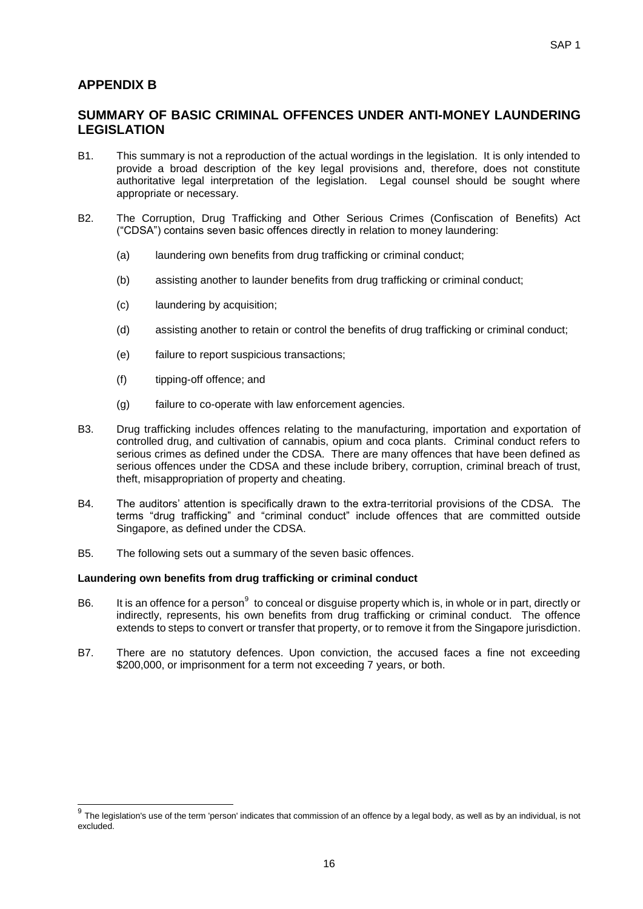### **APPENDIX B**

### **SUMMARY OF BASIC CRIMINAL OFFENCES UNDER ANTI-MONEY LAUNDERING LEGISLATION**

- B1. This summary is not a reproduction of the actual wordings in the legislation. It is only intended to provide a broad description of the key legal provisions and, therefore, does not constitute authoritative legal interpretation of the legislation. Legal counsel should be sought where appropriate or necessary.
- B2. The Corruption, Drug Trafficking and Other Serious Crimes (Confiscation of Benefits) Act ("CDSA") contains seven basic offences directly in relation to money laundering:
	- (a) laundering own benefits from drug trafficking or criminal conduct;
	- (b) assisting another to launder benefits from drug trafficking or criminal conduct;
	- (c) laundering by acquisition;
	- (d) assisting another to retain or control the benefits of drug trafficking or criminal conduct;
	- (e) failure to report suspicious transactions;
	- (f) tipping-off offence; and
	- (g) failure to co-operate with law enforcement agencies.
- B3. Drug trafficking includes offences relating to the manufacturing, importation and exportation of controlled drug, and cultivation of cannabis, opium and coca plants. Criminal conduct refers to serious crimes as defined under the CDSA. There are many offences that have been defined as serious offences under the CDSA and these include bribery, corruption, criminal breach of trust, theft, misappropriation of property and cheating.
- B4. The auditors' attention is specifically drawn to the extra-territorial provisions of the CDSA. The terms "drug trafficking" and "criminal conduct" include offences that are committed outside Singapore, as defined under the CDSA.
- B5. The following sets out a summary of the seven basic offences.

#### **Laundering own benefits from drug trafficking or criminal conduct**

- B6. It is an offence for a person<sup>9</sup> to conceal or disguise property which is, in whole or in part, directly or indirectly, represents, his own benefits from drug trafficking or criminal conduct. The offence extends to steps to convert or transfer that property, or to remove it from the Singapore jurisdiction.
- B7. There are no statutory defences. Upon conviction, the accused faces a fine not exceeding \$200,000, or imprisonment for a term not exceeding 7 years, or both.

 9 The legislation's use of the term 'person' indicates that commission of an offence by a legal body, as well as by an individual, is not excluded.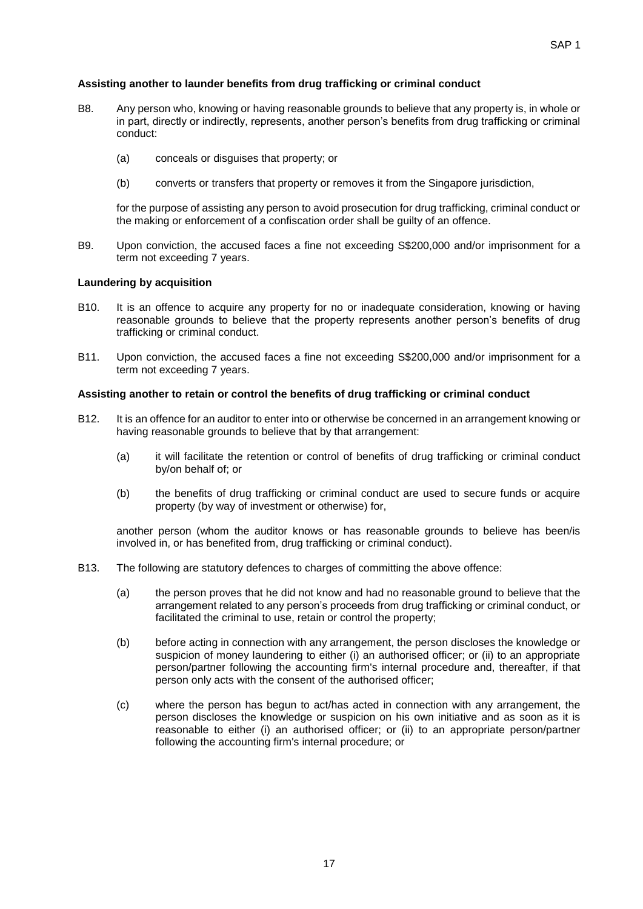#### **Assisting another to launder benefits from drug trafficking or criminal conduct**

- B8. Any person who, knowing or having reasonable grounds to believe that any property is, in whole or in part, directly or indirectly, represents, another person's benefits from drug trafficking or criminal conduct:
	- (a) conceals or disguises that property; or
	- (b) converts or transfers that property or removes it from the Singapore jurisdiction,

for the purpose of assisting any person to avoid prosecution for drug trafficking, criminal conduct or the making or enforcement of a confiscation order shall be guilty of an offence.

B9. Upon conviction, the accused faces a fine not exceeding S\$200,000 and/or imprisonment for a term not exceeding 7 years.

#### **Laundering by acquisition**

- B10. It is an offence to acquire any property for no or inadequate consideration, knowing or having reasonable grounds to believe that the property represents another person's benefits of drug trafficking or criminal conduct.
- B11. Upon conviction, the accused faces a fine not exceeding S\$200,000 and/or imprisonment for a term not exceeding 7 years.

#### **Assisting another to retain or control the benefits of drug trafficking or criminal conduct**

- B12. It is an offence for an auditor to enter into or otherwise be concerned in an arrangement knowing or having reasonable grounds to believe that by that arrangement:
	- (a) it will facilitate the retention or control of benefits of drug trafficking or criminal conduct by/on behalf of; or
	- (b) the benefits of drug trafficking or criminal conduct are used to secure funds or acquire property (by way of investment or otherwise) for,

another person (whom the auditor knows or has reasonable grounds to believe has been/is involved in, or has benefited from, drug trafficking or criminal conduct).

- B13. The following are statutory defences to charges of committing the above offence:
	- (a) the person proves that he did not know and had no reasonable ground to believe that the arrangement related to any person's proceeds from drug trafficking or criminal conduct, or facilitated the criminal to use, retain or control the property;
	- (b) before acting in connection with any arrangement, the person discloses the knowledge or suspicion of money laundering to either (i) an authorised officer; or (ii) to an appropriate person/partner following the accounting firm's internal procedure and, thereafter, if that person only acts with the consent of the authorised officer;
	- (c) where the person has begun to act/has acted in connection with any arrangement, the person discloses the knowledge or suspicion on his own initiative and as soon as it is reasonable to either (i) an authorised officer; or (ii) to an appropriate person/partner following the accounting firm's internal procedure; or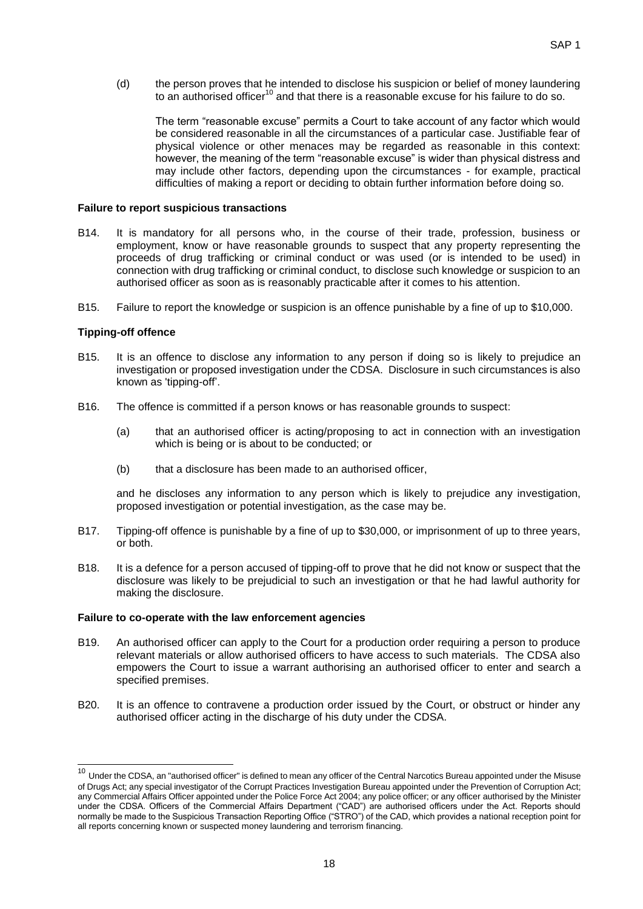(d) the person proves that he intended to disclose his suspicion or belief of money laundering to an authorised officer<sup>10</sup> and that there is a reasonable excuse for his failure to do so.

The term "reasonable excuse" permits a Court to take account of any factor which would be considered reasonable in all the circumstances of a particular case. Justifiable fear of physical violence or other menaces may be regarded as reasonable in this context: however, the meaning of the term "reasonable excuse" is wider than physical distress and may include other factors, depending upon the circumstances - for example, practical difficulties of making a report or deciding to obtain further information before doing so.

#### **Failure to report suspicious transactions**

- B14. It is mandatory for all persons who, in the course of their trade, profession, business or employment, know or have reasonable grounds to suspect that any property representing the proceeds of drug trafficking or criminal conduct or was used (or is intended to be used) in connection with drug trafficking or criminal conduct, to disclose such knowledge or suspicion to an authorised officer as soon as is reasonably practicable after it comes to his attention.
- B15. Failure to report the knowledge or suspicion is an offence punishable by a fine of up to \$10,000.

#### **Tipping-off offence**

-

- B15. It is an offence to disclose any information to any person if doing so is likely to prejudice an investigation or proposed investigation under the CDSA. Disclosure in such circumstances is also known as 'tipping-off'.
- B16. The offence is committed if a person knows or has reasonable grounds to suspect:
	- (a) that an authorised officer is acting/proposing to act in connection with an investigation which is being or is about to be conducted; or
	- (b) that a disclosure has been made to an authorised officer,

and he discloses any information to any person which is likely to prejudice any investigation, proposed investigation or potential investigation, as the case may be.

- B17. Tipping-off offence is punishable by a fine of up to \$30,000, or imprisonment of up to three years, or both.
- B18. It is a defence for a person accused of tipping-off to prove that he did not know or suspect that the disclosure was likely to be prejudicial to such an investigation or that he had lawful authority for making the disclosure.

#### **Failure to co-operate with the law enforcement agencies**

- B19. An authorised officer can apply to the Court for a production order requiring a person to produce relevant materials or allow authorised officers to have access to such materials. The CDSA also empowers the Court to issue a warrant authorising an authorised officer to enter and search a specified premises.
- B20. It is an offence to contravene a production order issued by the Court, or obstruct or hinder any authorised officer acting in the discharge of his duty under the CDSA.

<sup>&</sup>lt;sup>10</sup> Under the CDSA, an "authorised officer" is defined to mean any officer of the Central Narcotics Bureau appointed under the Misuse of Drugs Act; any special investigator of the Corrupt Practices Investigation Bureau appointed under the Prevention of Corruption Act; any Commercial Affairs Officer appointed under the Police Force Act 2004; any police officer; or any officer authorised by the Minister under the CDSA. Officers of the Commercial Affairs Department ("CAD") are authorised officers under the Act. Reports should normally be made to the Suspicious Transaction Reporting Office ("STRO") of the CAD, which provides a national reception point for all reports concerning known or suspected money laundering and terrorism financing.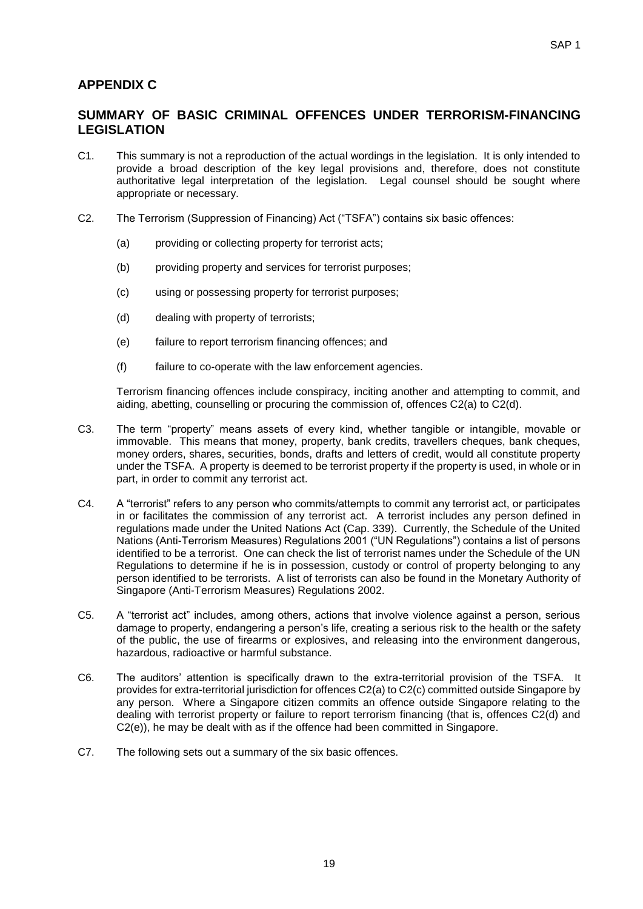### **APPENDIX C**

### **SUMMARY OF BASIC CRIMINAL OFFENCES UNDER TERRORISM-FINANCING LEGISLATION**

- C1. This summary is not a reproduction of the actual wordings in the legislation. It is only intended to provide a broad description of the key legal provisions and, therefore, does not constitute authoritative legal interpretation of the legislation. Legal counsel should be sought where appropriate or necessary.
- C2. The Terrorism (Suppression of Financing) Act ("TSFA") contains six basic offences:
	- (a) providing or collecting property for terrorist acts;
	- (b) providing property and services for terrorist purposes;
	- (c) using or possessing property for terrorist purposes;
	- (d) dealing with property of terrorists;
	- (e) failure to report terrorism financing offences; and
	- (f) failure to co-operate with the law enforcement agencies.

Terrorism financing offences include conspiracy, inciting another and attempting to commit, and aiding, abetting, counselling or procuring the commission of, offences C2(a) to C2(d).

- C3. The term "property" means assets of every kind, whether tangible or intangible, movable or immovable. This means that money, property, bank credits, travellers cheques, bank cheques, money orders, shares, securities, bonds, drafts and letters of credit, would all constitute property under the TSFA. A property is deemed to be terrorist property if the property is used, in whole or in part, in order to commit any terrorist act.
- C4. A "terrorist" refers to any person who commits/attempts to commit any terrorist act, or participates in or facilitates the commission of any terrorist act. A terrorist includes any person defined in regulations made under the United Nations Act (Cap. 339). Currently, the Schedule of the United Nations (Anti-Terrorism Measures) Regulations 2001 ("UN Regulations") contains a list of persons identified to be a terrorist. One can check the list of terrorist names under the Schedule of the UN Regulations to determine if he is in possession, custody or control of property belonging to any person identified to be terrorists. A list of terrorists can also be found in the Monetary Authority of Singapore (Anti-Terrorism Measures) Regulations 2002.
- C5. A "terrorist act" includes, among others, actions that involve violence against a person, serious damage to property, endangering a person's life, creating a serious risk to the health or the safety of the public, the use of firearms or explosives, and releasing into the environment dangerous, hazardous, radioactive or harmful substance.
- C6. The auditors' attention is specifically drawn to the extra-territorial provision of the TSFA. It provides for extra-territorial jurisdiction for offences C2(a) to C2(c) committed outside Singapore by any person. Where a Singapore citizen commits an offence outside Singapore relating to the dealing with terrorist property or failure to report terrorism financing (that is, offences C2(d) and C2(e)), he may be dealt with as if the offence had been committed in Singapore.
- C7. The following sets out a summary of the six basic offences.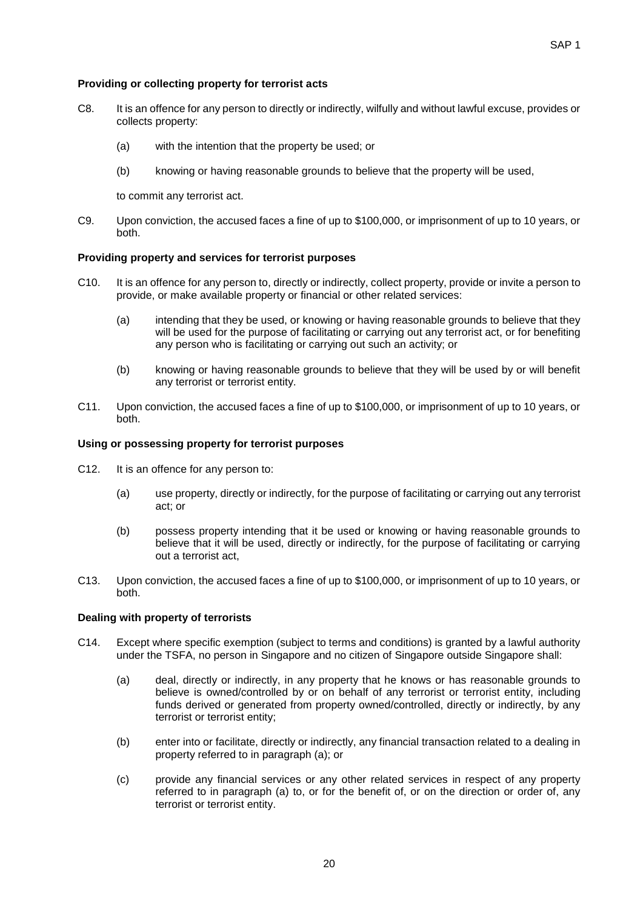#### **Providing or collecting property for terrorist acts**

- C8. It is an offence for any person to directly or indirectly, wilfully and without lawful excuse, provides or collects property:
	- (a) with the intention that the property be used; or
	- (b) knowing or having reasonable grounds to believe that the property will be used,

to commit any terrorist act.

C9. Upon conviction, the accused faces a fine of up to \$100,000, or imprisonment of up to 10 years, or both.

#### **Providing property and services for terrorist purposes**

- C10. It is an offence for any person to, directly or indirectly, collect property, provide or invite a person to provide, or make available property or financial or other related services:
	- (a) intending that they be used, or knowing or having reasonable grounds to believe that they will be used for the purpose of facilitating or carrying out any terrorist act, or for benefiting any person who is facilitating or carrying out such an activity; or
	- (b) knowing or having reasonable grounds to believe that they will be used by or will benefit any terrorist or terrorist entity.
- C11. Upon conviction, the accused faces a fine of up to \$100,000, or imprisonment of up to 10 years, or both.

#### **Using or possessing property for terrorist purposes**

- C12. It is an offence for any person to:
	- (a) use property, directly or indirectly, for the purpose of facilitating or carrying out any terrorist act; or
	- (b) possess property intending that it be used or knowing or having reasonable grounds to believe that it will be used, directly or indirectly, for the purpose of facilitating or carrying out a terrorist act,
- C13. Upon conviction, the accused faces a fine of up to \$100,000, or imprisonment of up to 10 years, or both.

#### **Dealing with property of terrorists**

- C14. Except where specific exemption (subject to terms and conditions) is granted by a lawful authority under the TSFA, no person in Singapore and no citizen of Singapore outside Singapore shall:
	- (a) deal, directly or indirectly, in any property that he knows or has reasonable grounds to believe is owned/controlled by or on behalf of any terrorist or terrorist entity, including funds derived or generated from property owned/controlled, directly or indirectly, by any terrorist or terrorist entity;
	- (b) enter into or facilitate, directly or indirectly, any financial transaction related to a dealing in property referred to in paragraph (a); or
	- (c) provide any financial services or any other related services in respect of any property referred to in paragraph (a) to, or for the benefit of, or on the direction or order of, any terrorist or terrorist entity.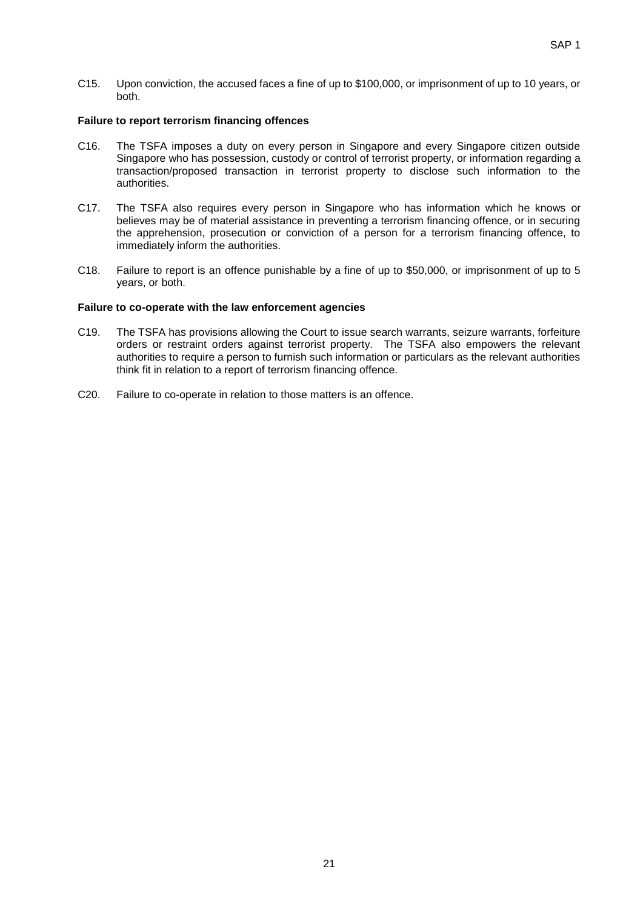C15. Upon conviction, the accused faces a fine of up to \$100,000, or imprisonment of up to 10 years, or both.

#### **Failure to report terrorism financing offences**

- C16. The TSFA imposes a duty on every person in Singapore and every Singapore citizen outside Singapore who has possession, custody or control of terrorist property, or information regarding a transaction/proposed transaction in terrorist property to disclose such information to the authorities.
- C17. The TSFA also requires every person in Singapore who has information which he knows or believes may be of material assistance in preventing a terrorism financing offence, or in securing the apprehension, prosecution or conviction of a person for a terrorism financing offence, to immediately inform the authorities.
- C18. Failure to report is an offence punishable by a fine of up to \$50,000, or imprisonment of up to 5 years, or both.

#### **Failure to co-operate with the law enforcement agencies**

- C19. The TSFA has provisions allowing the Court to issue search warrants, seizure warrants, forfeiture orders or restraint orders against terrorist property. The TSFA also empowers the relevant authorities to require a person to furnish such information or particulars as the relevant authorities think fit in relation to a report of terrorism financing offence.
- C20. Failure to co-operate in relation to those matters is an offence.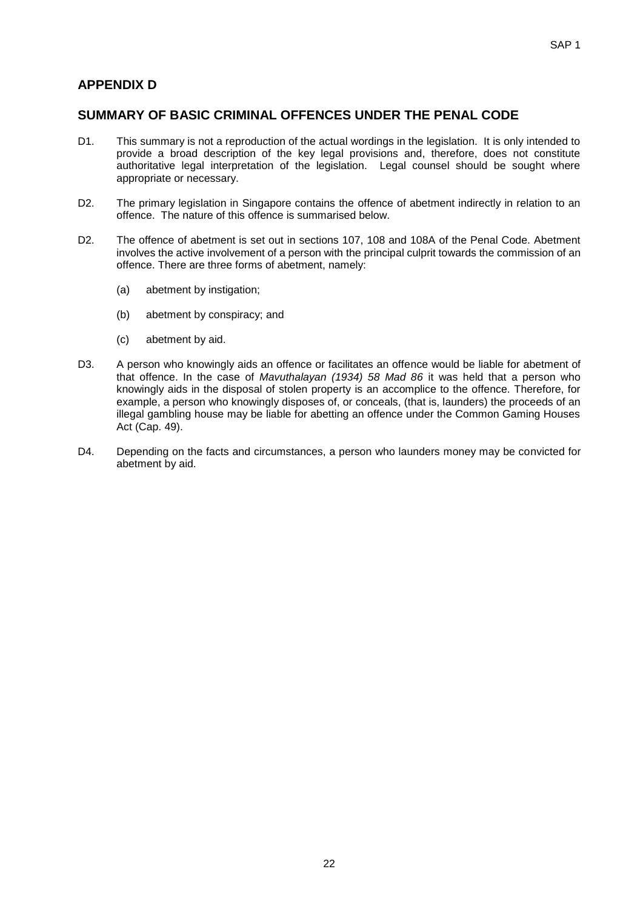### **APPENDIX D**

### **SUMMARY OF BASIC CRIMINAL OFFENCES UNDER THE PENAL CODE**

- D1. This summary is not a reproduction of the actual wordings in the legislation. It is only intended to provide a broad description of the key legal provisions and, therefore, does not constitute authoritative legal interpretation of the legislation. Legal counsel should be sought where appropriate or necessary.
- D2. The primary legislation in Singapore contains the offence of abetment indirectly in relation to an offence. The nature of this offence is summarised below.
- D2. The offence of abetment is set out in sections 107, 108 and 108A of the Penal Code. Abetment involves the active involvement of a person with the principal culprit towards the commission of an offence. There are three forms of abetment, namely:
	- (a) abetment by instigation;
	- (b) abetment by conspiracy; and
	- (c) abetment by aid.
- D3. A person who knowingly aids an offence or facilitates an offence would be liable for abetment of that offence. In the case of *Mavuthalayan (1934) 58 Mad 86* it was held that a person who knowingly aids in the disposal of stolen property is an accomplice to the offence. Therefore, for example, a person who knowingly disposes of, or conceals, (that is, launders) the proceeds of an illegal gambling house may be liable for abetting an offence under the Common Gaming Houses Act (Cap. 49).
- D4. Depending on the facts and circumstances, a person who launders money may be convicted for abetment by aid.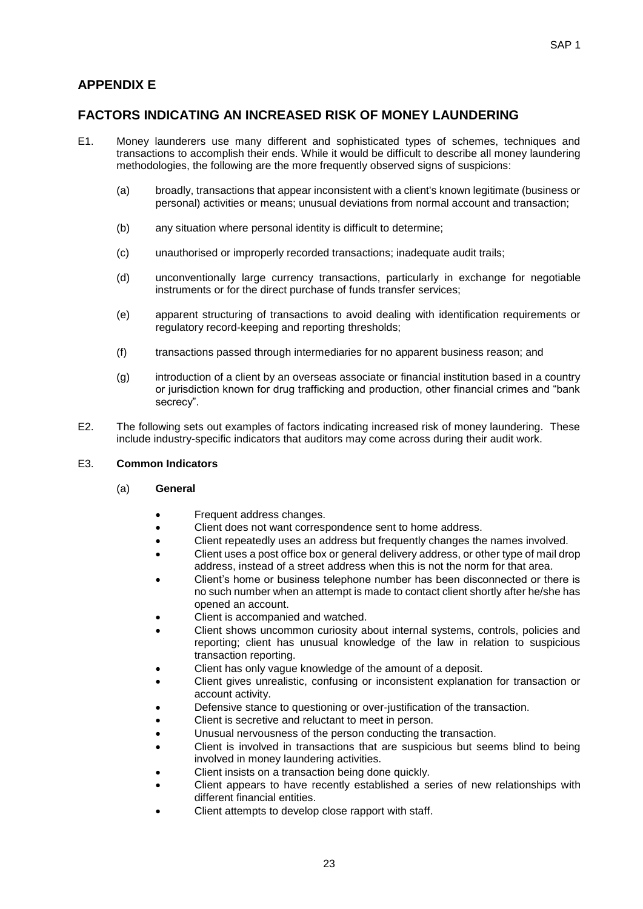### **APPENDIX E**

### **FACTORS INDICATING AN INCREASED RISK OF MONEY LAUNDERING**

- E1. Money launderers use many different and sophisticated types of schemes, techniques and transactions to accomplish their ends. While it would be difficult to describe all money laundering methodologies, the following are the more frequently observed signs of suspicions:
	- (a) broadly, transactions that appear inconsistent with a client's known legitimate (business or personal) activities or means; unusual deviations from normal account and transaction;
	- (b) any situation where personal identity is difficult to determine;
	- (c) unauthorised or improperly recorded transactions; inadequate audit trails;
	- (d) unconventionally large currency transactions, particularly in exchange for negotiable instruments or for the direct purchase of funds transfer services;
	- (e) apparent structuring of transactions to avoid dealing with identification requirements or regulatory record-keeping and reporting thresholds;
	- (f) transactions passed through intermediaries for no apparent business reason; and
	- (g) introduction of a client by an overseas associate or financial institution based in a country or jurisdiction known for drug trafficking and production, other financial crimes and "bank secrecy".
- E2. The following sets out examples of factors indicating increased risk of money laundering. These include industry-specific indicators that auditors may come across during their audit work.

#### E3. **Common Indicators**

- (a) **General**
	- Frequent address changes.
	- Client does not want correspondence sent to home address.
	- Client repeatedly uses an address but frequently changes the names involved.
	- Client uses a post office box or general delivery address, or other type of mail drop address, instead of a street address when this is not the norm for that area.
	- Client's home or business telephone number has been disconnected or there is no such number when an attempt is made to contact client shortly after he/she has opened an account.
	- Client is accompanied and watched.
	- Client shows uncommon curiosity about internal systems, controls, policies and reporting; client has unusual knowledge of the law in relation to suspicious transaction reporting.
	- Client has only vague knowledge of the amount of a deposit.
	- Client gives unrealistic, confusing or inconsistent explanation for transaction or account activity.
	- Defensive stance to questioning or over-justification of the transaction.
	- Client is secretive and reluctant to meet in person.
	- Unusual nervousness of the person conducting the transaction.
	- Client is involved in transactions that are suspicious but seems blind to being involved in money laundering activities.
	- Client insists on a transaction being done quickly.
	- Client appears to have recently established a series of new relationships with different financial entities.
	- Client attempts to develop close rapport with staff.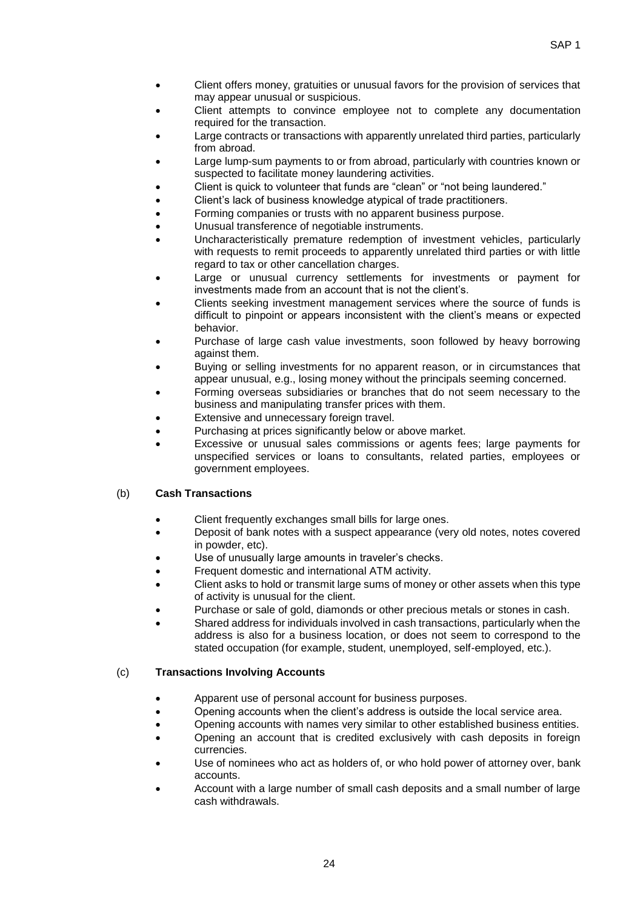- Client offers money, gratuities or unusual favors for the provision of services that may appear unusual or suspicious.
- Client attempts to convince employee not to complete any documentation required for the transaction.
- Large contracts or transactions with apparently unrelated third parties, particularly from abroad.
- Large lump-sum payments to or from abroad, particularly with countries known or suspected to facilitate money laundering activities.
- Client is quick to volunteer that funds are "clean" or "not being laundered."
- Client's lack of business knowledge atypical of trade practitioners.
- Forming companies or trusts with no apparent business purpose.
- Unusual transference of negotiable instruments.
- Uncharacteristically premature redemption of investment vehicles, particularly with requests to remit proceeds to apparently unrelated third parties or with little regard to tax or other cancellation charges.
- Large or unusual currency settlements for investments or payment for investments made from an account that is not the client's.
- Clients seeking investment management services where the source of funds is difficult to pinpoint or appears inconsistent with the client's means or expected behavior.
- Purchase of large cash value investments, soon followed by heavy borrowing against them.
- Buying or selling investments for no apparent reason, or in circumstances that appear unusual, e.g., losing money without the principals seeming concerned.
- Forming overseas subsidiaries or branches that do not seem necessary to the business and manipulating transfer prices with them.
- Extensive and unnecessary foreign travel.
- Purchasing at prices significantly below or above market.
- Excessive or unusual sales commissions or agents fees; large payments for unspecified services or loans to consultants, related parties, employees or government employees.

#### (b) **Cash Transactions**

- Client frequently exchanges small bills for large ones.
- Deposit of bank notes with a suspect appearance (very old notes, notes covered in powder, etc).
- Use of unusually large amounts in traveler's checks.
- Frequent domestic and international ATM activity.
- Client asks to hold or transmit large sums of money or other assets when this type of activity is unusual for the client.
- Purchase or sale of gold, diamonds or other precious metals or stones in cash.
- Shared address for individuals involved in cash transactions, particularly when the address is also for a business location, or does not seem to correspond to the stated occupation (for example, student, unemployed, self-employed, etc.).

#### (c) **Transactions Involving Accounts**

- Apparent use of personal account for business purposes.
- Opening accounts when the client's address is outside the local service area.
- Opening accounts with names very similar to other established business entities.
- Opening an account that is credited exclusively with cash deposits in foreign currencies.
- Use of nominees who act as holders of, or who hold power of attorney over, bank accounts.
- Account with a large number of small cash deposits and a small number of large cash withdrawals.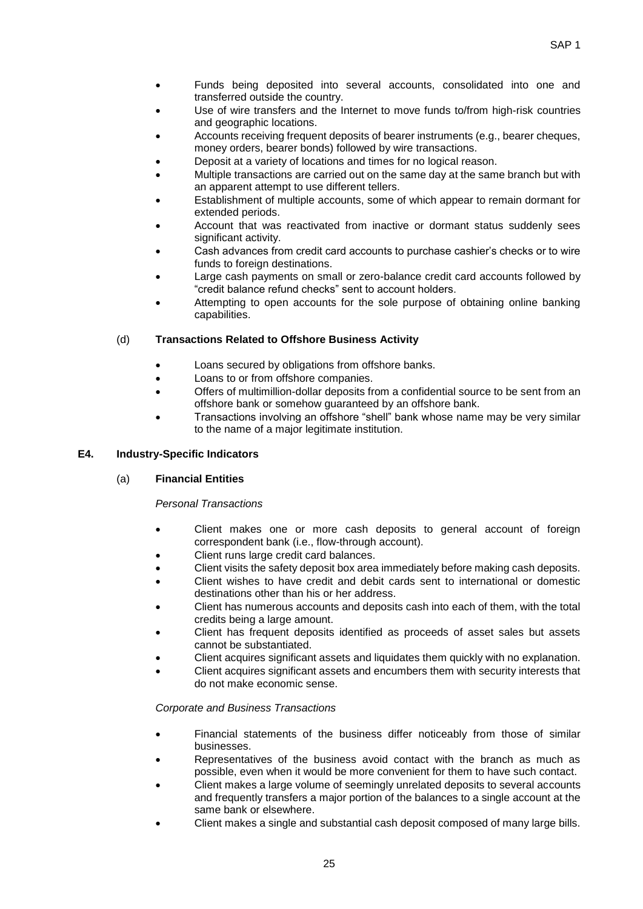- Funds being deposited into several accounts, consolidated into one and transferred outside the country.
- Use of wire transfers and the Internet to move funds to/from high-risk countries and geographic locations.
- Accounts receiving frequent deposits of bearer instruments (e.g., bearer cheques, money orders, bearer bonds) followed by wire transactions.
- Deposit at a variety of locations and times for no logical reason.
- Multiple transactions are carried out on the same day at the same branch but with an apparent attempt to use different tellers.
- Establishment of multiple accounts, some of which appear to remain dormant for extended periods.
- Account that was reactivated from inactive or dormant status suddenly sees significant activity.
- Cash advances from credit card accounts to purchase cashier's checks or to wire funds to foreign destinations.
- Large cash payments on small or zero-balance credit card accounts followed by "credit balance refund checks" sent to account holders.
- Attempting to open accounts for the sole purpose of obtaining online banking capabilities.

#### (d) **Transactions Related to Offshore Business Activity**

- Loans secured by obligations from offshore banks.
- Loans to or from offshore companies.
- Offers of multimillion-dollar deposits from a confidential source to be sent from an offshore bank or somehow guaranteed by an offshore bank.
- Transactions involving an offshore "shell" bank whose name may be very similar to the name of a major legitimate institution.

#### **E4. Industry-Specific Indicators**

#### (a) **Financial Entities**

#### *Personal Transactions*

- Client makes one or more cash deposits to general account of foreign correspondent bank (i.e., flow-through account).
- Client runs large credit card balances.
- Client visits the safety deposit box area immediately before making cash deposits.
- Client wishes to have credit and debit cards sent to international or domestic destinations other than his or her address.
- Client has numerous accounts and deposits cash into each of them, with the total credits being a large amount.
- Client has frequent deposits identified as proceeds of asset sales but assets cannot be substantiated.
- Client acquires significant assets and liquidates them quickly with no explanation.
- Client acquires significant assets and encumbers them with security interests that do not make economic sense.

#### *Corporate and Business Transactions*

- Financial statements of the business differ noticeably from those of similar businesses.
- Representatives of the business avoid contact with the branch as much as possible, even when it would be more convenient for them to have such contact.
- Client makes a large volume of seemingly unrelated deposits to several accounts and frequently transfers a major portion of the balances to a single account at the same bank or elsewhere.
- Client makes a single and substantial cash deposit composed of many large bills.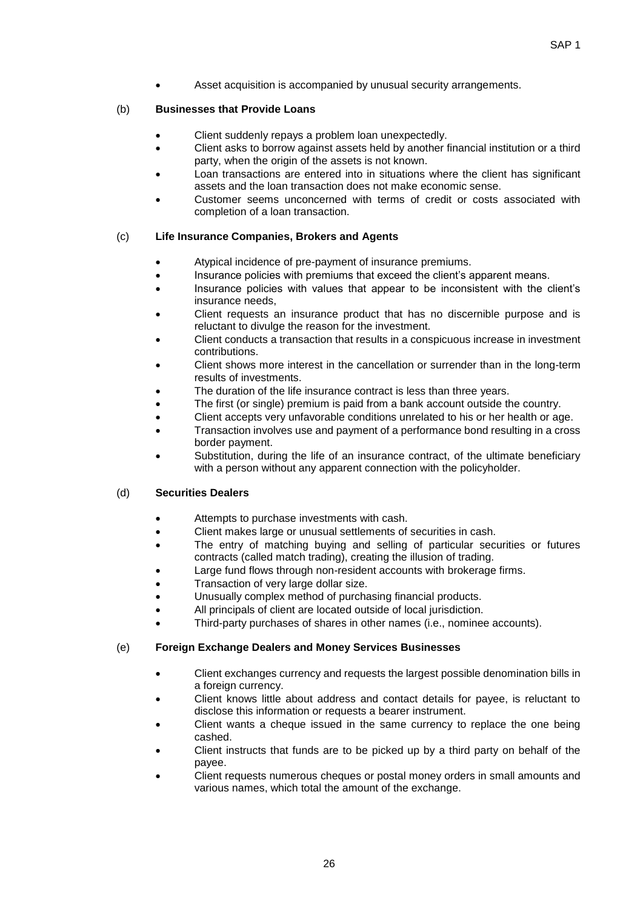Asset acquisition is accompanied by unusual security arrangements.

#### (b) **Businesses that Provide Loans**

- Client suddenly repays a problem loan unexpectedly.
- Client asks to borrow against assets held by another financial institution or a third party, when the origin of the assets is not known.
- Loan transactions are entered into in situations where the client has significant assets and the loan transaction does not make economic sense.
- Customer seems unconcerned with terms of credit or costs associated with completion of a loan transaction.

#### (c) **Life Insurance Companies, Brokers and Agents**

- Atypical incidence of pre-payment of insurance premiums.
- Insurance policies with premiums that exceed the client's apparent means.
- Insurance policies with values that appear to be inconsistent with the client's insurance needs,
- Client requests an insurance product that has no discernible purpose and is reluctant to divulge the reason for the investment.
- Client conducts a transaction that results in a conspicuous increase in investment contributions.
- Client shows more interest in the cancellation or surrender than in the long-term results of investments.
- The duration of the life insurance contract is less than three years.
- The first (or single) premium is paid from a bank account outside the country.
- Client accepts very unfavorable conditions unrelated to his or her health or age.
- Transaction involves use and payment of a performance bond resulting in a cross border payment.
- Substitution, during the life of an insurance contract, of the ultimate beneficiary with a person without any apparent connection with the policyholder.

#### (d) **Securities Dealers**

- Attempts to purchase investments with cash.
- Client makes large or unusual settlements of securities in cash.
- The entry of matching buying and selling of particular securities or futures contracts (called match trading), creating the illusion of trading.
- Large fund flows through non-resident accounts with brokerage firms.
- Transaction of very large dollar size.
- Unusually complex method of purchasing financial products.
- All principals of client are located outside of local jurisdiction.
- Third-party purchases of shares in other names (i.e., nominee accounts).

#### (e) **Foreign Exchange Dealers and Money Services Businesses**

- Client exchanges currency and requests the largest possible denomination bills in a foreign currency.
- Client knows little about address and contact details for payee, is reluctant to disclose this information or requests a bearer instrument.
- Client wants a cheque issued in the same currency to replace the one being cashed.
- Client instructs that funds are to be picked up by a third party on behalf of the payee.
- Client requests numerous cheques or postal money orders in small amounts and various names, which total the amount of the exchange.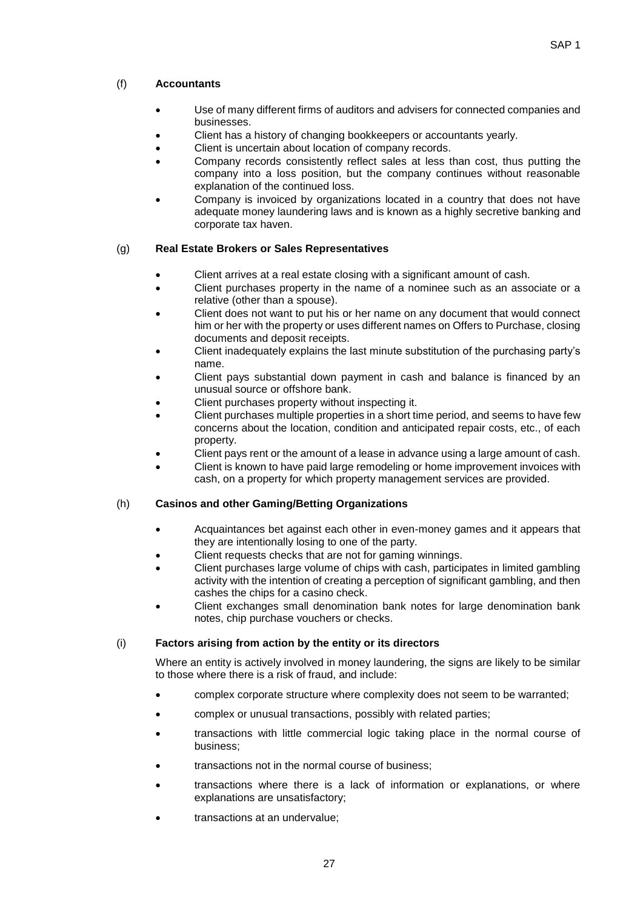### (f) **Accountants**

- Use of many different firms of auditors and advisers for connected companies and businesses.
- Client has a history of changing bookkeepers or accountants yearly.
- Client is uncertain about location of company records.
- Company records consistently reflect sales at less than cost, thus putting the company into a loss position, but the company continues without reasonable explanation of the continued loss.
- Company is invoiced by organizations located in a country that does not have adequate money laundering laws and is known as a highly secretive banking and corporate tax haven.

### (g) **Real Estate Brokers or Sales Representatives**

- Client arrives at a real estate closing with a significant amount of cash.
- Client purchases property in the name of a nominee such as an associate or a relative (other than a spouse).
- Client does not want to put his or her name on any document that would connect him or her with the property or uses different names on Offers to Purchase, closing documents and deposit receipts.
- Client inadequately explains the last minute substitution of the purchasing party's name.
- Client pays substantial down payment in cash and balance is financed by an unusual source or offshore bank.
- Client purchases property without inspecting it.
- Client purchases multiple properties in a short time period, and seems to have few concerns about the location, condition and anticipated repair costs, etc., of each property.
- Client pays rent or the amount of a lease in advance using a large amount of cash.
- Client is known to have paid large remodeling or home improvement invoices with cash, on a property for which property management services are provided.

#### (h) **Casinos and other Gaming/Betting Organizations**

- Acquaintances bet against each other in even-money games and it appears that they are intentionally losing to one of the party.
- Client requests checks that are not for gaming winnings.
- Client purchases large volume of chips with cash, participates in limited gambling activity with the intention of creating a perception of significant gambling, and then cashes the chips for a casino check.
- Client exchanges small denomination bank notes for large denomination bank notes, chip purchase vouchers or checks.

#### (i) **Factors arising from action by the entity or its directors**

Where an entity is actively involved in money laundering, the signs are likely to be similar to those where there is a risk of fraud, and include:

- complex corporate structure where complexity does not seem to be warranted;
- complex or unusual transactions, possibly with related parties;
- transactions with little commercial logic taking place in the normal course of business;
- transactions not in the normal course of business;
- transactions where there is a lack of information or explanations, or where explanations are unsatisfactory;
- transactions at an undervalue;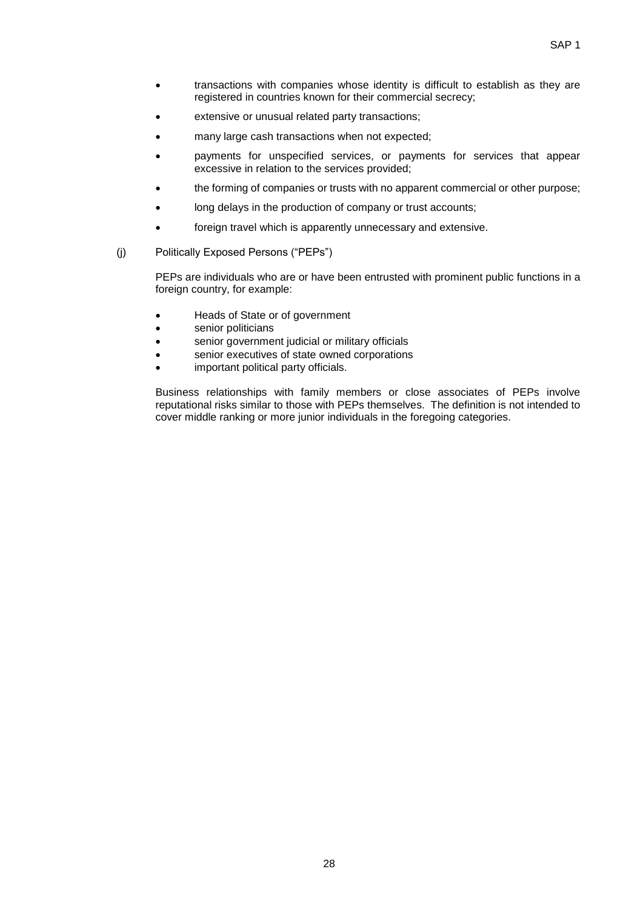- transactions with companies whose identity is difficult to establish as they are registered in countries known for their commercial secrecy;
- extensive or unusual related party transactions;
- many large cash transactions when not expected;
- payments for unspecified services, or payments for services that appear excessive in relation to the services provided;
- the forming of companies or trusts with no apparent commercial or other purpose;
- long delays in the production of company or trust accounts;
- foreign travel which is apparently unnecessary and extensive.
- (j) Politically Exposed Persons ("PEPs")

PEPs are individuals who are or have been entrusted with prominent public functions in a foreign country, for example:

- Heads of State or of government
- senior politicians
- senior government judicial or military officials
- senior executives of state owned corporations
- important political party officials.

Business relationships with family members or close associates of PEPs involve reputational risks similar to those with PEPs themselves. The definition is not intended to cover middle ranking or more junior individuals in the foregoing categories.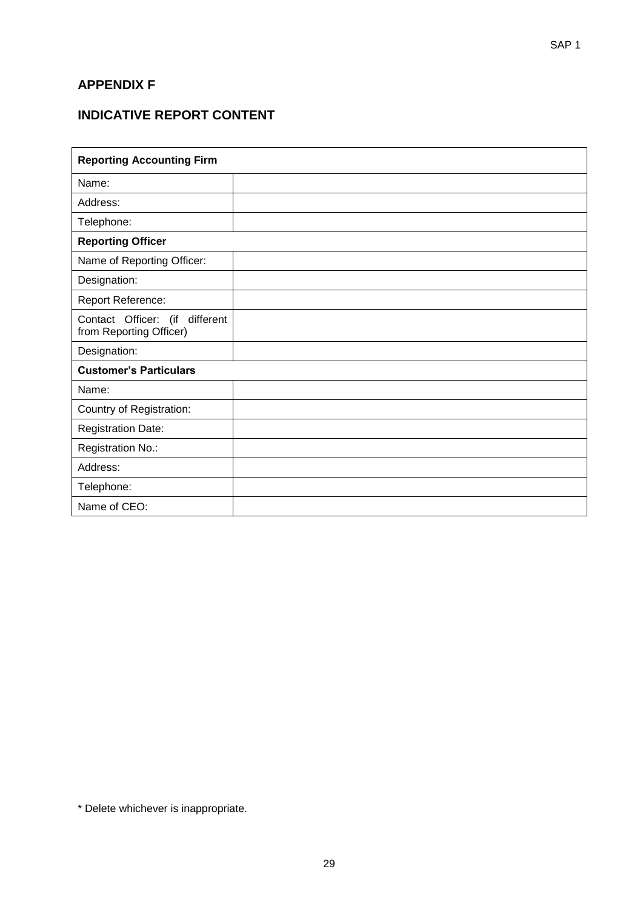### **APPENDIX F**

## **INDICATIVE REPORT CONTENT**

| <b>Reporting Accounting Firm</b>                          |  |  |  |  |
|-----------------------------------------------------------|--|--|--|--|
| Name:                                                     |  |  |  |  |
| Address:                                                  |  |  |  |  |
| Telephone:                                                |  |  |  |  |
| <b>Reporting Officer</b>                                  |  |  |  |  |
| Name of Reporting Officer:                                |  |  |  |  |
| Designation:                                              |  |  |  |  |
| Report Reference:                                         |  |  |  |  |
| Contact Officer: (if different<br>from Reporting Officer) |  |  |  |  |
| Designation:                                              |  |  |  |  |
| <b>Customer's Particulars</b>                             |  |  |  |  |
| Name:                                                     |  |  |  |  |
| Country of Registration:                                  |  |  |  |  |
| <b>Registration Date:</b>                                 |  |  |  |  |
| Registration No.:                                         |  |  |  |  |
| Address:                                                  |  |  |  |  |
| Telephone:                                                |  |  |  |  |
| Name of CEO:                                              |  |  |  |  |

\* Delete whichever is inappropriate.